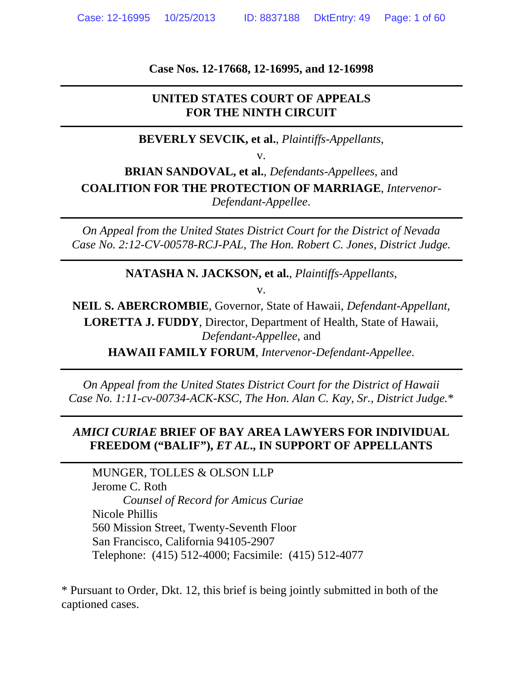**Case Nos. 12-17668, 12-16995, and 12-16998** 

### **UNITED STATES COURT OF APPEALS FOR THE NINTH CIRCUIT**

**BEVERLY SEVCIK, et al.**, *Plaintiffs-Appellants*,

v.

**BRIAN SANDOVAL, et al.**, *Defendants-Appellees*, and **COALITION FOR THE PROTECTION OF MARRIAGE**, *Intervenor-Defendant-Appellee*.

*On Appeal from the United States District Court for the District of Nevada Case No. 2:12-CV-00578-RCJ-PAL, The Hon. Robert C. Jones, District Judge.* 

**NATASHA N. JACKSON, et al.**, *Plaintiffs-Appellants*,

v.

**NEIL S. ABERCROMBIE**, Governor, State of Hawaii, *Defendant-Appellant*, **LORETTA J. FUDDY**, Director, Department of Health, State of Hawaii, *Defendant-Appellee*, and

**HAWAII FAMILY FORUM**, *Intervenor-Defendant-Appellee*.

*On Appeal from the United States District Court for the District of Hawaii Case No. 1:11-cv-00734-ACK-KSC, The Hon. Alan C. Kay, Sr., District Judge.*\*

## *AMICI CURIAE* **BRIEF OF BAY AREA LAWYERS FOR INDIVIDUAL FREEDOM ("BALIF"),** *ET AL***., IN SUPPORT OF APPELLANTS**

MUNGER, TOLLES & OLSON LLP Jerome C. Roth *Counsel of Record for Amicus Curiae* Nicole Phillis 560 Mission Street, Twenty-Seventh Floor San Francisco, California 94105-2907 Telephone: (415) 512-4000; Facsimile: (415) 512-4077

\* Pursuant to Order, Dkt. 12, this brief is being jointly submitted in both of the captioned cases.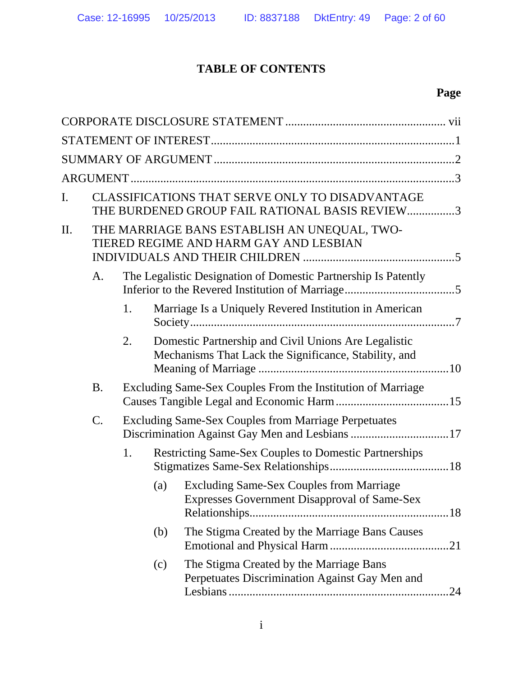# **TABLE OF CONTENTS**

# **Page**

| I.  |           |    |     | CLASSIFICATIONS THAT SERVE ONLY TO DISADVANTAGE<br>THE BURDENED GROUP FAIL RATIONAL BASIS REVIEW3             |
|-----|-----------|----|-----|---------------------------------------------------------------------------------------------------------------|
| II. |           |    |     | THE MARRIAGE BANS ESTABLISH AN UNEQUAL, TWO-<br>TIERED REGIME AND HARM GAY AND LESBIAN                        |
|     | A.        |    |     | The Legalistic Designation of Domestic Partnership Is Patently                                                |
|     |           | 1. |     | Marriage Is a Uniquely Revered Institution in American                                                        |
|     |           | 2. |     | Domestic Partnership and Civil Unions Are Legalistic<br>Mechanisms That Lack the Significance, Stability, and |
|     | <b>B.</b> |    |     | Excluding Same-Sex Couples From the Institution of Marriage                                                   |
|     | C.        |    |     | <b>Excluding Same-Sex Couples from Marriage Perpetuates</b><br>Discrimination Against Gay Men and Lesbians 17 |
|     |           | 1. |     | <b>Restricting Same-Sex Couples to Domestic Partnerships</b>                                                  |
|     |           |    | (a) | <b>Excluding Same-Sex Couples from Marriage</b><br><b>Expresses Government Disapproval of Same-Sex</b>        |
|     |           |    | (b) | The Stigma Created by the Marriage Bans Causes                                                                |
|     |           |    | (c) | The Stigma Created by the Marriage Bans<br>Perpetuates Discrimination Against Gay Men and<br>.24              |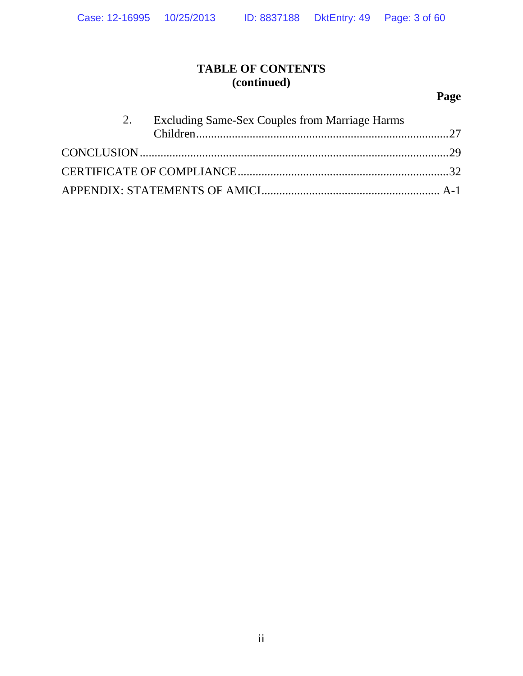# **TABLE OF CONTENTS (continued)**

# **Page**

|  | 2. Excluding Same-Sex Couples from Marriage Harms |  |
|--|---------------------------------------------------|--|
|  |                                                   |  |
|  |                                                   |  |
|  |                                                   |  |
|  |                                                   |  |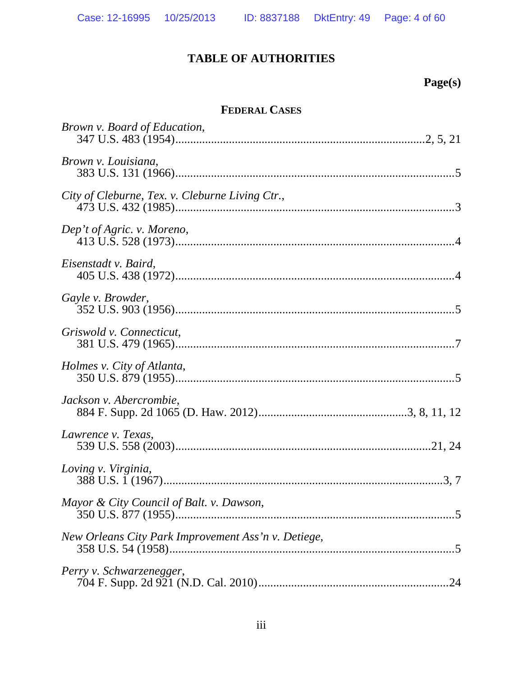# **TABLE OF AUTHORITIES**

# **Page(s)**

# **FEDERAL CASES**

| <i>Brown v. Board of Education,</i>                 |
|-----------------------------------------------------|
| Brown v. Louisiana,                                 |
| City of Cleburne, Tex. v. Cleburne Living Ctr.,     |
| Dep't of Agric. v. Moreno,                          |
| Eisenstadt v. Baird,                                |
| Gayle v. Browder,                                   |
| Griswold v. Connecticut,                            |
| Holmes v. City of Atlanta,                          |
| Jackson v. Abercrombie,                             |
| Lawrence v. Texas,                                  |
| Loving v. Virginia,                                 |
| Mayor & City Council of Balt. v. Dawson,            |
| New Orleans City Park Improvement Ass'n v. Detiege, |
| Perry v. Schwarzenegger,                            |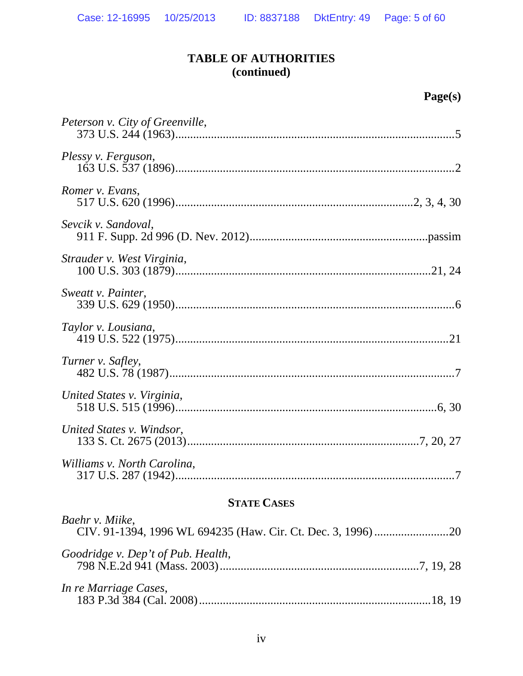# **TABLE OF AUTHORITIES (continued)**

| 1т Ді<br>٠ |  |
|------------|--|
|            |  |

| Peterson v. City of Greenville, |
|---------------------------------|
| Plessy v. Ferguson,             |
| Romer v. Evans,                 |
| Sevcik v. Sandoval,             |
| Strauder v. West Virginia,      |
| Sweatt v. Painter,              |
| Taylor v. Lousiana,             |
| Turner v. Safley,               |
| United States v. Virginia,      |
| United States v. Windsor,       |
| Williams v. North Carolina,     |

# **STATE CASES**

| Baehr v. Miike,                    |  |
|------------------------------------|--|
| Goodridge v. Dep't of Pub. Health, |  |
| In re Marriage Cases,              |  |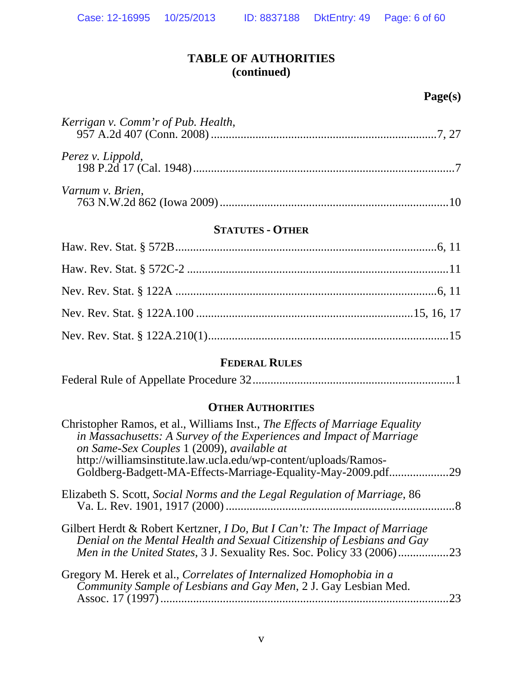# **TABLE OF AUTHORITIES (continued)**

# **Page(s)**

| Kerrigan v. Comm'r of Pub. Health, |  |
|------------------------------------|--|
| Perez v. Lippold,                  |  |
| Varnum v. Brien,                   |  |

#### **STATUTES - OTHER**

### **FEDERAL RULES**

|--|--|

# **OTHER AUTHORITIES**

| Christopher Ramos, et al., Williams Inst., The Effects of Marriage Equality<br>in Massachusetts: A Survey of the Experiences and Impact of Marriage<br>on Same-Sex Couples 1 (2009), available at                                  |     |
|------------------------------------------------------------------------------------------------------------------------------------------------------------------------------------------------------------------------------------|-----|
| http://williamsinstitute.law.ucla.edu/wp-content/uploads/Ramos-<br>Goldberg-Badgett-MA-Effects-Marriage-Equality-May-2009.pdf.                                                                                                     | .29 |
| Elizabeth S. Scott, Social Norms and the Legal Regulation of Marriage, 86                                                                                                                                                          |     |
| Gilbert Herdt & Robert Kertzner, <i>I Do, But I Can't: The Impact of Marriage</i><br>Denial on the Mental Health and Sexual Citizenship of Lesbians and Gay<br>Men in the United States, 3 J. Sexuality Res. Soc. Policy 33 (2006) | .23 |
| Gregory M. Herek et al., Correlates of Internalized Homophobia in a<br>Community Sample of Lesbians and Gay Men, 2 J. Gay Lesbian Med.<br>Assoc. 17 (1997)                                                                         | 23  |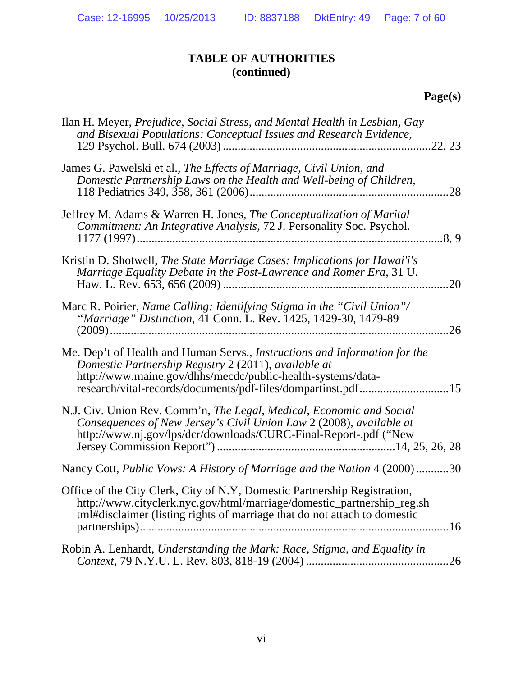# **TABLE OF AUTHORITIES (continued)**

# **Page(s)**

| Ilan H. Meyer, Prejudice, Social Stress, and Mental Health in Lesbian, Gay<br>and Bisexual Populations: Conceptual Issues and Research Evidence,                                                                                                                         |       |
|--------------------------------------------------------------------------------------------------------------------------------------------------------------------------------------------------------------------------------------------------------------------------|-------|
| James G. Pawelski et al., The Effects of Marriage, Civil Union, and<br>Domestic Partnership Laws on the Health and Well-being of Children,                                                                                                                               | .28   |
| Jeffrey M. Adams & Warren H. Jones, <i>The Conceptualization of Marital</i><br>Commitment: An Integrative Analysis, 72 J. Personality Soc. Psychol.                                                                                                                      | .8, 9 |
| Kristin D. Shotwell, The State Marriage Cases: Implications for Hawai'i's<br>Marriage Equality Debate in the Post-Lawrence and Romer Era, 31 U.                                                                                                                          | .20   |
| Marc R. Poirier, Name Calling: Identifying Stigma in the "Civil Union"/<br>"Marriage" Distinction, 41 Conn. L. Rev. 1425, 1429-30, 1479-89                                                                                                                               | 26    |
| Me. Dep't of Health and Human Servs., <i>Instructions and Information for the</i><br>Domestic Partnership Registry 2 (2011), available at<br>http://www.maine.gov/dhhs/mecdc/public-health-systems/data-<br>research/vital-records/documents/pdf-files/dompartinst.pdf15 |       |
| N.J. Civ. Union Rev. Comm'n, The Legal, Medical, Economic and Social<br>Consequences of New Jersey's Civil Union Law 2 (2008), available at<br>http://www.nj.gov/lps/dcr/downloads/CURC-Final-Report-.pdf ("New                                                          |       |
| Nancy Cott, Public Vows: A History of Marriage and the Nation 4 (2000)30                                                                                                                                                                                                 |       |
| Office of the City Clerk, City of N.Y, Domestic Partnership Registration,<br>http://www.cityclerk.nyc.gov/html/marriage/domestic_partnership_reg.sh<br>tml#disclaimer (listing rights of marriage that do not attach to domestic                                         |       |
| Robin A. Lenhardt, Understanding the Mark: Race, Stigma, and Equality in                                                                                                                                                                                                 |       |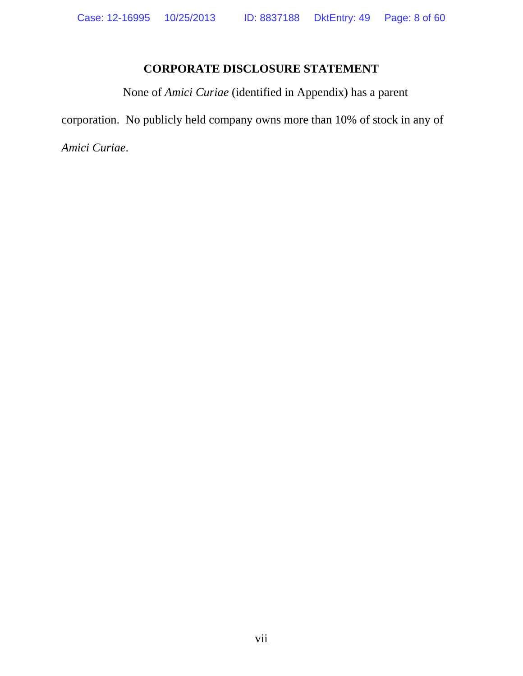# **CORPORATE DISCLOSURE STATEMENT**

None of *Amici Curiae* (identified in Appendix) has a parent

corporation. No publicly held company owns more than 10% of stock in any of

*Amici Curiae*.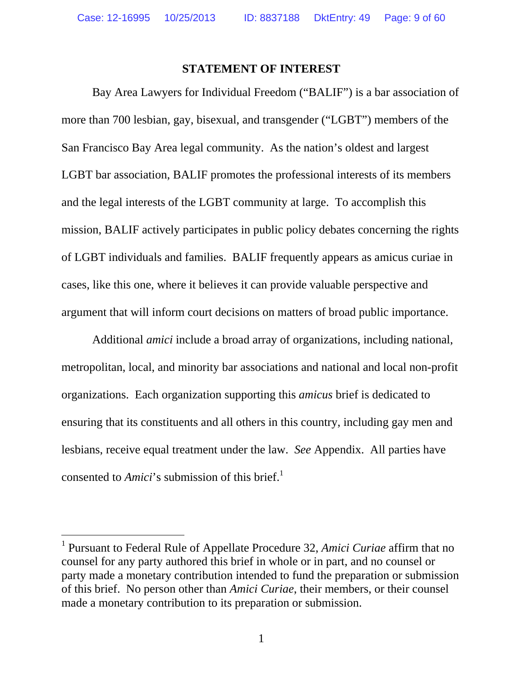#### **STATEMENT OF INTEREST**

Bay Area Lawyers for Individual Freedom ("BALIF") is a bar association of more than 700 lesbian, gay, bisexual, and transgender ("LGBT") members of the San Francisco Bay Area legal community. As the nation's oldest and largest LGBT bar association, BALIF promotes the professional interests of its members and the legal interests of the LGBT community at large. To accomplish this mission, BALIF actively participates in public policy debates concerning the rights of LGBT individuals and families. BALIF frequently appears as amicus curiae in cases, like this one, where it believes it can provide valuable perspective and argument that will inform court decisions on matters of broad public importance.

Additional *amici* include a broad array of organizations, including national, metropolitan, local, and minority bar associations and national and local non-profit organizations. Each organization supporting this *amicus* brief is dedicated to ensuring that its constituents and all others in this country, including gay men and lesbians, receive equal treatment under the law. *See* Appendix. All parties have consented to *Amici*'s submission of this brief.<sup>1</sup>

 $\overline{a}$ 

<sup>&</sup>lt;sup>1</sup> Pursuant to Federal Rule of Appellate Procedure 32, *Amici Curiae* affirm that no counsel for any party authored this brief in whole or in part, and no counsel or party made a monetary contribution intended to fund the preparation or submission of this brief. No person other than *Amici Curiae*, their members, or their counsel made a monetary contribution to its preparation or submission.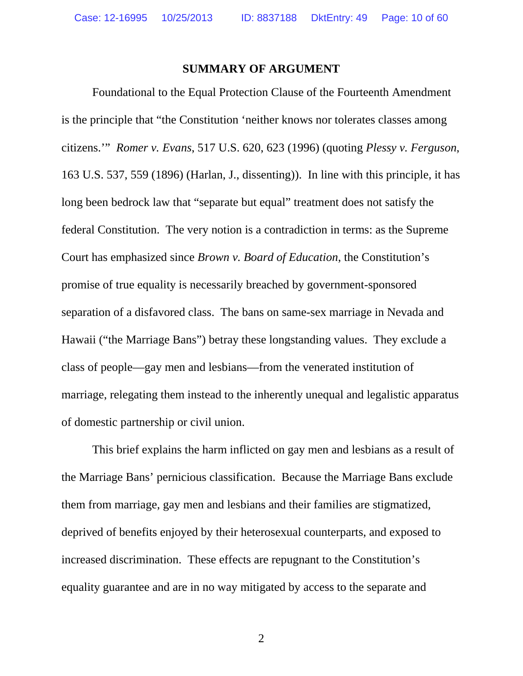#### **SUMMARY OF ARGUMENT**

Foundational to the Equal Protection Clause of the Fourteenth Amendment is the principle that "the Constitution 'neither knows nor tolerates classes among citizens.'" *Romer v. Evans*, 517 U.S. 620, 623 (1996) (quoting *Plessy v. Ferguson*, 163 U.S. 537, 559 (1896) (Harlan, J., dissenting)). In line with this principle, it has long been bedrock law that "separate but equal" treatment does not satisfy the federal Constitution. The very notion is a contradiction in terms: as the Supreme Court has emphasized since *Brown v. Board of Education*, the Constitution's promise of true equality is necessarily breached by government-sponsored separation of a disfavored class. The bans on same-sex marriage in Nevada and Hawaii ("the Marriage Bans") betray these longstanding values. They exclude a class of people—gay men and lesbians—from the venerated institution of marriage, relegating them instead to the inherently unequal and legalistic apparatus of domestic partnership or civil union.

This brief explains the harm inflicted on gay men and lesbians as a result of the Marriage Bans' pernicious classification. Because the Marriage Bans exclude them from marriage, gay men and lesbians and their families are stigmatized, deprived of benefits enjoyed by their heterosexual counterparts, and exposed to increased discrimination. These effects are repugnant to the Constitution's equality guarantee and are in no way mitigated by access to the separate and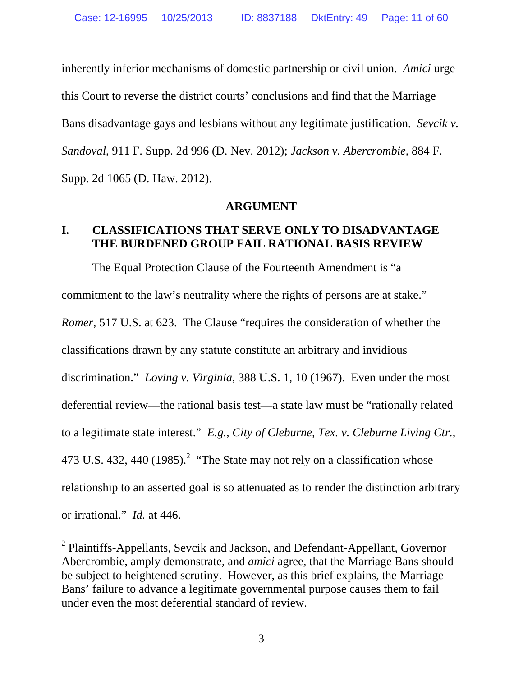inherently inferior mechanisms of domestic partnership or civil union. *Amici* urge this Court to reverse the district courts' conclusions and find that the Marriage Bans disadvantage gays and lesbians without any legitimate justification. *Sevcik v. Sandoval*, 911 F. Supp. 2d 996 (D. Nev. 2012); *Jackson v. Abercrombie*, 884 F. Supp. 2d 1065 (D. Haw. 2012).

#### **ARGUMENT**

### **I. CLASSIFICATIONS THAT SERVE ONLY TO DISADVANTAGE THE BURDENED GROUP FAIL RATIONAL BASIS REVIEW**

The Equal Protection Clause of the Fourteenth Amendment is "a commitment to the law's neutrality where the rights of persons are at stake." *Romer*, 517 U.S. at 623. The Clause "requires the consideration of whether the classifications drawn by any statute constitute an arbitrary and invidious discrimination." *Loving v. Virginia*, 388 U.S. 1, 10 (1967).Even under the most deferential review—the rational basis test—a state law must be "rationally related to a legitimate state interest." *E.g.*, *City of Cleburne, Tex. v. Cleburne Living Ctr.*, 473 U.S. 432, 440 (1985).<sup>2</sup> "The State may not rely on a classification whose relationship to an asserted goal is so attenuated as to render the distinction arbitrary or irrational." *Id.* at 446.

l

<sup>&</sup>lt;sup>2</sup> Plaintiffs-Appellants, Sevcik and Jackson, and Defendant-Appellant, Governor Abercrombie, amply demonstrate, and *amici* agree, that the Marriage Bans should be subject to heightened scrutiny. However, as this brief explains, the Marriage Bans' failure to advance a legitimate governmental purpose causes them to fail under even the most deferential standard of review.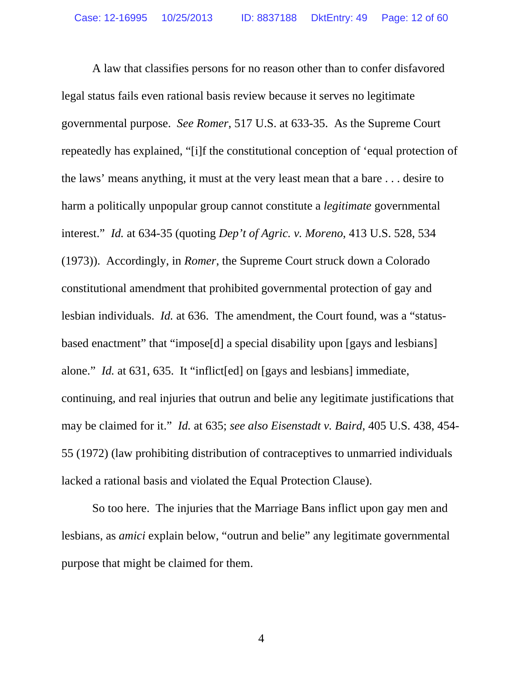A law that classifies persons for no reason other than to confer disfavored legal status fails even rational basis review because it serves no legitimate governmental purpose. *See Romer*, 517 U.S. at 633-35. As the Supreme Court repeatedly has explained, "[i]f the constitutional conception of 'equal protection of the laws' means anything, it must at the very least mean that a bare . . . desire to harm a politically unpopular group cannot constitute a *legitimate* governmental interest." *Id.* at 634-35 (quoting *Dep't of Agric. v. Moreno*, 413 U.S. 528, 534 (1973)). Accordingly, in *Romer*, the Supreme Court struck down a Colorado constitutional amendment that prohibited governmental protection of gay and lesbian individuals. *Id.* at 636.The amendment, the Court found, was a "statusbased enactment" that "impose[d] a special disability upon [gays and lesbians] alone." *Id.* at 631, 635. It "inflict[ed] on [gays and lesbians] immediate, continuing, and real injuries that outrun and belie any legitimate justifications that may be claimed for it." *Id.* at 635; *see also Eisenstadt v. Baird*, 405 U.S. 438, 454- 55 (1972) (law prohibiting distribution of contraceptives to unmarried individuals lacked a rational basis and violated the Equal Protection Clause).

So too here. The injuries that the Marriage Bans inflict upon gay men and lesbians, as *amici* explain below, "outrun and belie" any legitimate governmental purpose that might be claimed for them.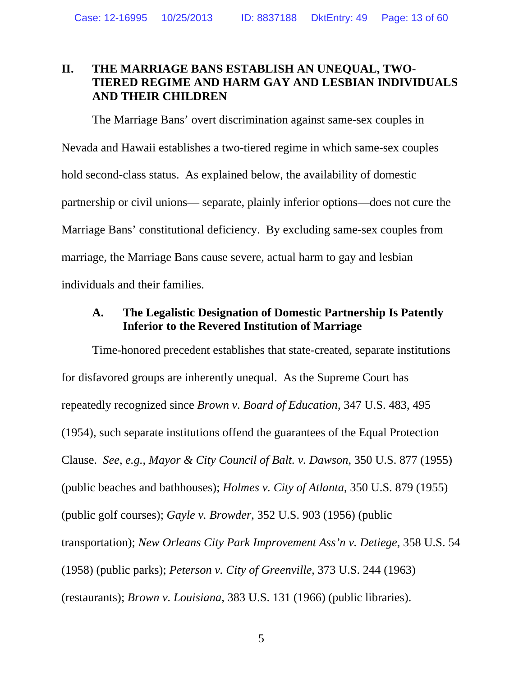### **II. THE MARRIAGE BANS ESTABLISH AN UNEQUAL, TWO-TIERED REGIME AND HARM GAY AND LESBIAN INDIVIDUALS AND THEIR CHILDREN**

The Marriage Bans' overt discrimination against same-sex couples in Nevada and Hawaii establishes a two-tiered regime in which same-sex couples hold second-class status. As explained below, the availability of domestic partnership or civil unions— separate, plainly inferior options—does not cure the Marriage Bans' constitutional deficiency. By excluding same-sex couples from marriage, the Marriage Bans cause severe, actual harm to gay and lesbian individuals and their families.

## **A. The Legalistic Designation of Domestic Partnership Is Patently Inferior to the Revered Institution of Marriage**

Time-honored precedent establishes that state-created, separate institutions for disfavored groups are inherently unequal. As the Supreme Court has repeatedly recognized since *Brown v. Board of Education*, 347 U.S. 483, 495 (1954), such separate institutions offend the guarantees of the Equal Protection Clause. *See, e.g.*, *Mayor & City Council of Balt. v. Dawson*, 350 U.S. 877 (1955) (public beaches and bathhouses); *Holmes v. City of Atlanta*, 350 U.S. 879 (1955) (public golf courses); *Gayle v. Browder*, 352 U.S. 903 (1956) (public transportation); *New Orleans City Park Improvement Ass'n v. Detiege*, 358 U.S. 54 (1958) (public parks); *Peterson v. City of Greenville*, 373 U.S. 244 (1963) (restaurants); *Brown v. Louisiana*, 383 U.S. 131 (1966) (public libraries).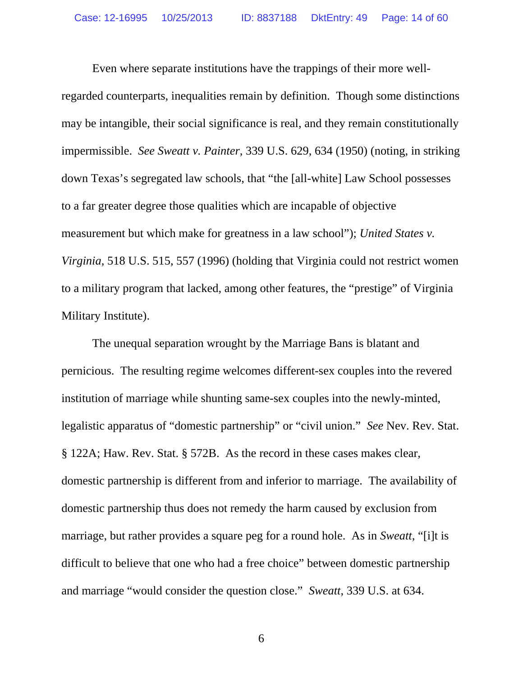Even where separate institutions have the trappings of their more wellregarded counterparts, inequalities remain by definition. Though some distinctions may be intangible, their social significance is real, and they remain constitutionally impermissible. *See Sweatt v. Painter*, 339 U.S. 629, 634 (1950) (noting, in striking down Texas's segregated law schools, that "the [all-white] Law School possesses to a far greater degree those qualities which are incapable of objective measurement but which make for greatness in a law school"); *United States v. Virginia*, 518 U.S. 515, 557 (1996) (holding that Virginia could not restrict women to a military program that lacked, among other features, the "prestige" of Virginia Military Institute).

The unequal separation wrought by the Marriage Bans is blatant and pernicious. The resulting regime welcomes different-sex couples into the revered institution of marriage while shunting same-sex couples into the newly-minted, legalistic apparatus of "domestic partnership" or "civil union." *See* Nev. Rev. Stat. § 122A; Haw. Rev. Stat. § 572B. As the record in these cases makes clear, domestic partnership is different from and inferior to marriage. The availability of domestic partnership thus does not remedy the harm caused by exclusion from marriage, but rather provides a square peg for a round hole. As in *Sweatt*, "[i]t is difficult to believe that one who had a free choice" between domestic partnership and marriage "would consider the question close." *Sweatt*, 339 U.S. at 634.

 $\overline{6}$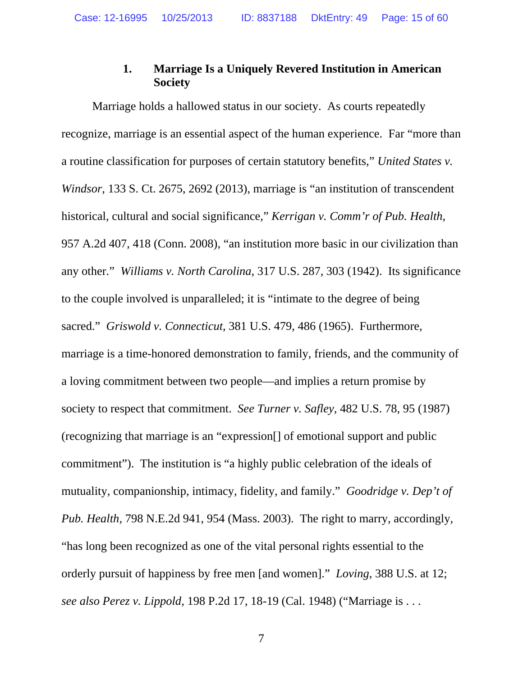## **1. Marriage Is a Uniquely Revered Institution in American Society**

Marriage holds a hallowed status in our society. As courts repeatedly recognize, marriage is an essential aspect of the human experience. Far "more than a routine classification for purposes of certain statutory benefits," *United States v. Windsor*, 133 S. Ct. 2675, 2692 (2013), marriage is "an institution of transcendent historical, cultural and social significance," *Kerrigan v. Comm'r of Pub. Health*, 957 A.2d 407, 418 (Conn. 2008), "an institution more basic in our civilization than any other." *Williams v. North Carolina*, 317 U.S. 287, 303 (1942). Its significance to the couple involved is unparalleled; it is "intimate to the degree of being sacred." *Griswold v. Connecticut*, 381 U.S. 479, 486 (1965). Furthermore, marriage is a time-honored demonstration to family, friends, and the community of a loving commitment between two people—and implies a return promise by society to respect that commitment. *See Turner v. Safley*, 482 U.S. 78, 95 (1987) (recognizing that marriage is an "expression[] of emotional support and public commitment"). The institution is "a highly public celebration of the ideals of mutuality, companionship, intimacy, fidelity, and family." *Goodridge v. Dep't of Pub. Health*, 798 N.E.2d 941, 954 (Mass. 2003). The right to marry, accordingly, "has long been recognized as one of the vital personal rights essential to the orderly pursuit of happiness by free men [and women]." *Loving*, 388 U.S. at 12; *see also Perez v. Lippold*, 198 P.2d 17, 18-19 (Cal. 1948) ("Marriage is . . .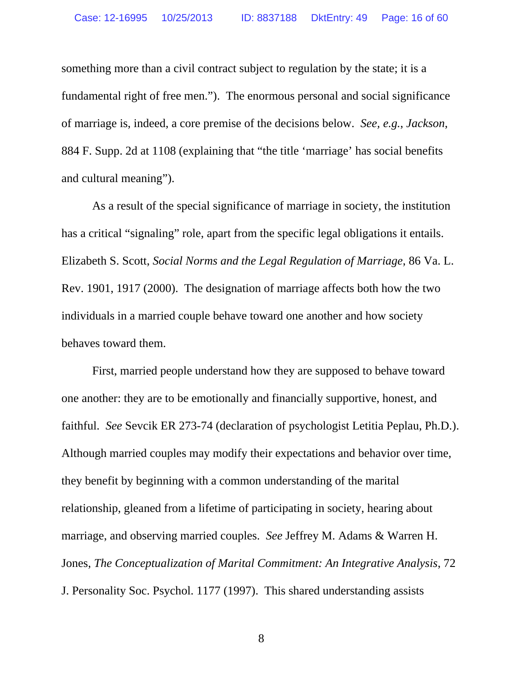something more than a civil contract subject to regulation by the state; it is a fundamental right of free men."). The enormous personal and social significance of marriage is, indeed, a core premise of the decisions below. *See, e.g.*, *Jackson*, 884 F. Supp. 2d at 1108 (explaining that "the title 'marriage' has social benefits and cultural meaning").

As a result of the special significance of marriage in society, the institution has a critical "signaling" role, apart from the specific legal obligations it entails. Elizabeth S. Scott, *Social Norms and the Legal Regulation of Marriage*, 86 Va. L. Rev. 1901, 1917 (2000). The designation of marriage affects both how the two individuals in a married couple behave toward one another and how society behaves toward them.

First, married people understand how they are supposed to behave toward one another: they are to be emotionally and financially supportive, honest, and faithful. *See* Sevcik ER 273-74 (declaration of psychologist Letitia Peplau, Ph.D.). Although married couples may modify their expectations and behavior over time, they benefit by beginning with a common understanding of the marital relationship, gleaned from a lifetime of participating in society, hearing about marriage, and observing married couples. *See* Jeffrey M. Adams & Warren H. Jones, *The Conceptualization of Marital Commitment: An Integrative Analysis*, 72 J. Personality Soc. Psychol. 1177 (1997). This shared understanding assists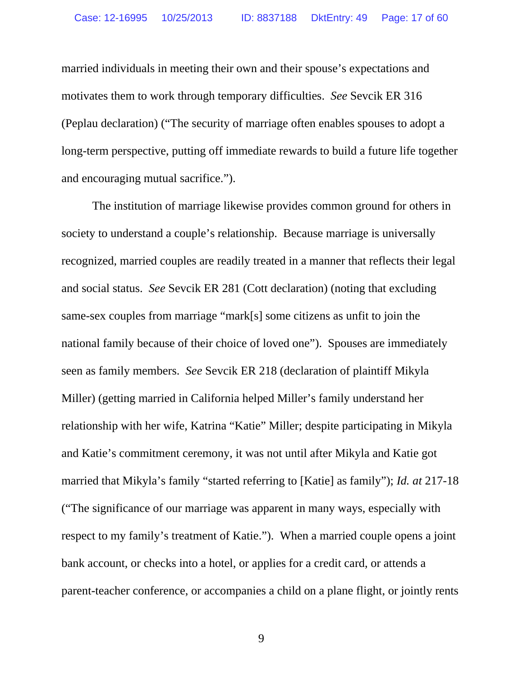married individuals in meeting their own and their spouse's expectations and motivates them to work through temporary difficulties. *See* Sevcik ER 316 (Peplau declaration) ("The security of marriage often enables spouses to adopt a long-term perspective, putting off immediate rewards to build a future life together and encouraging mutual sacrifice.").

The institution of marriage likewise provides common ground for others in society to understand a couple's relationship. Because marriage is universally recognized, married couples are readily treated in a manner that reflects their legal and social status. *See* Sevcik ER 281 (Cott declaration) (noting that excluding same-sex couples from marriage "mark[s] some citizens as unfit to join the national family because of their choice of loved one"). Spouses are immediately seen as family members. *See* Sevcik ER 218 (declaration of plaintiff Mikyla Miller) (getting married in California helped Miller's family understand her relationship with her wife, Katrina "Katie" Miller; despite participating in Mikyla and Katie's commitment ceremony, it was not until after Mikyla and Katie got married that Mikyla's family "started referring to [Katie] as family"); *Id. at* 217-18 ("The significance of our marriage was apparent in many ways, especially with respect to my family's treatment of Katie."). When a married couple opens a joint bank account, or checks into a hotel, or applies for a credit card, or attends a parent-teacher conference, or accompanies a child on a plane flight, or jointly rents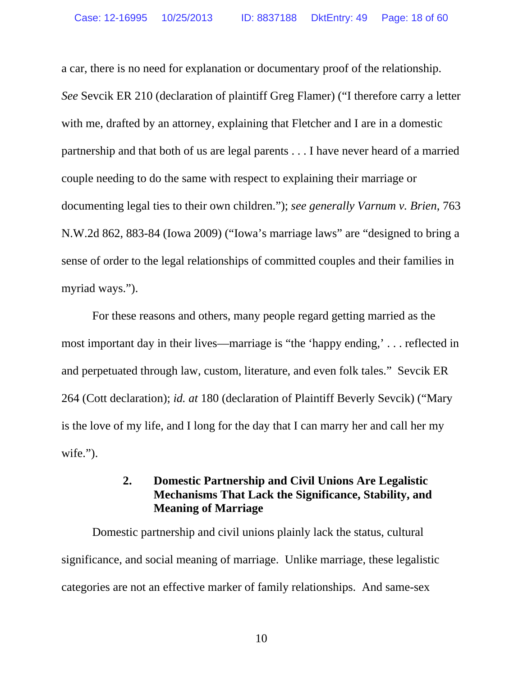a car, there is no need for explanation or documentary proof of the relationship. *See* Sevcik ER 210 (declaration of plaintiff Greg Flamer) ("I therefore carry a letter with me, drafted by an attorney, explaining that Fletcher and I are in a domestic partnership and that both of us are legal parents . . . I have never heard of a married couple needing to do the same with respect to explaining their marriage or documenting legal ties to their own children."); *see generally Varnum v. Brien*, 763 N.W.2d 862, 883-84 (Iowa 2009) ("Iowa's marriage laws" are "designed to bring a sense of order to the legal relationships of committed couples and their families in myriad ways.").

For these reasons and others, many people regard getting married as the most important day in their lives—marriage is "the 'happy ending,' . . . reflected in and perpetuated through law, custom, literature, and even folk tales." Sevcik ER 264 (Cott declaration); *id. at* 180 (declaration of Plaintiff Beverly Sevcik) ("Mary is the love of my life, and I long for the day that I can marry her and call her my wife.").

## **2. Domestic Partnership and Civil Unions Are Legalistic Mechanisms That Lack the Significance, Stability, and Meaning of Marriage**

Domestic partnership and civil unions plainly lack the status, cultural significance, and social meaning of marriage. Unlike marriage, these legalistic categories are not an effective marker of family relationships. And same-sex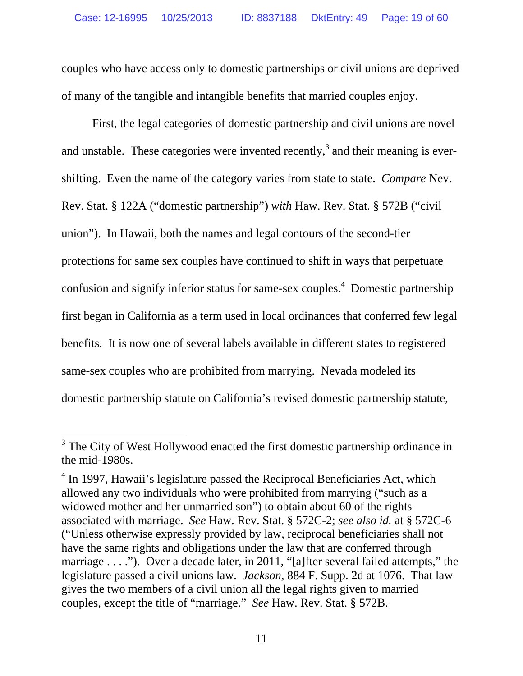couples who have access only to domestic partnerships or civil unions are deprived of many of the tangible and intangible benefits that married couples enjoy.

First, the legal categories of domestic partnership and civil unions are novel and unstable. These categories were invented recently,<sup>3</sup> and their meaning is evershifting. Even the name of the category varies from state to state. *Compare* Nev. Rev. Stat. § 122A ("domestic partnership") *with* Haw. Rev. Stat. § 572B ("civil union"). In Hawaii, both the names and legal contours of the second-tier protections for same sex couples have continued to shift in ways that perpetuate confusion and signify inferior status for same-sex couples.<sup>4</sup> Domestic partnership first began in California as a term used in local ordinances that conferred few legal benefits. It is now one of several labels available in different states to registered same-sex couples who are prohibited from marrying. Nevada modeled its domestic partnership statute on California's revised domestic partnership statute,

-

<sup>&</sup>lt;sup>3</sup> The City of West Hollywood enacted the first domestic partnership ordinance in the mid-1980s.

<sup>&</sup>lt;sup>4</sup> In 1997, Hawaii's legislature passed the Reciprocal Beneficiaries Act, which allowed any two individuals who were prohibited from marrying ("such as a widowed mother and her unmarried son") to obtain about 60 of the rights associated with marriage. *See* Haw. Rev. Stat. § 572C-2; *see also id.* at § 572C-6 ("Unless otherwise expressly provided by law, reciprocal beneficiaries shall not have the same rights and obligations under the law that are conferred through marriage . . . ."). Over a decade later, in 2011, "[a]fter several failed attempts," the legislature passed a civil unions law. *Jackson*, 884 F. Supp. 2d at 1076. That law gives the two members of a civil union all the legal rights given to married couples, except the title of "marriage." *See* Haw. Rev. Stat. § 572B.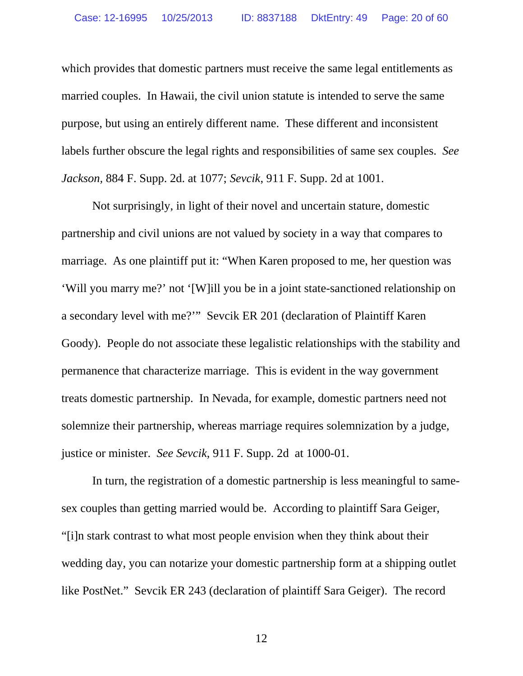which provides that domestic partners must receive the same legal entitlements as married couples. In Hawaii, the civil union statute is intended to serve the same purpose, but using an entirely different name. These different and inconsistent labels further obscure the legal rights and responsibilities of same sex couples. *See Jackson,* 884 F. Supp. 2d. at 1077; *Sevcik*, 911 F. Supp. 2d at 1001.

Not surprisingly, in light of their novel and uncertain stature, domestic partnership and civil unions are not valued by society in a way that compares to marriage. As one plaintiff put it: "When Karen proposed to me, her question was 'Will you marry me?' not '[W]ill you be in a joint state-sanctioned relationship on a secondary level with me?'" Sevcik ER 201 (declaration of Plaintiff Karen Goody). People do not associate these legalistic relationships with the stability and permanence that characterize marriage. This is evident in the way government treats domestic partnership. In Nevada, for example, domestic partners need not solemnize their partnership, whereas marriage requires solemnization by a judge, justice or minister. *See Sevcik*, 911 F. Supp. 2d at 1000-01.

In turn, the registration of a domestic partnership is less meaningful to samesex couples than getting married would be. According to plaintiff Sara Geiger, "[i]n stark contrast to what most people envision when they think about their wedding day, you can notarize your domestic partnership form at a shipping outlet like PostNet." Sevcik ER 243 (declaration of plaintiff Sara Geiger). The record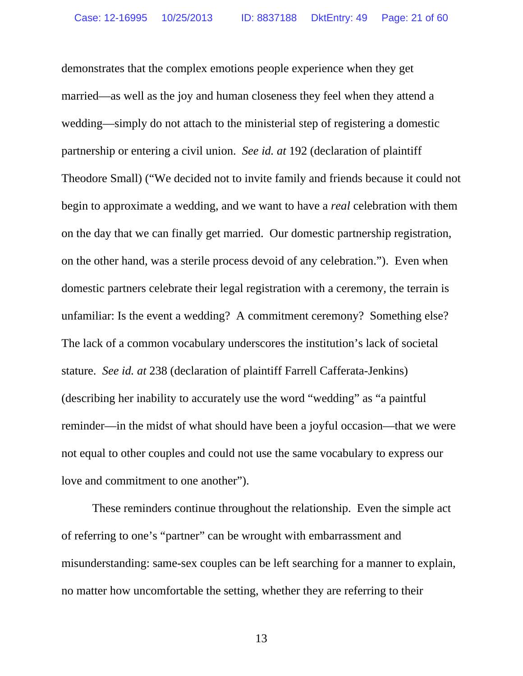demonstrates that the complex emotions people experience when they get married—as well as the joy and human closeness they feel when they attend a wedding—simply do not attach to the ministerial step of registering a domestic partnership or entering a civil union. *See id. at* 192 (declaration of plaintiff Theodore Small) ("We decided not to invite family and friends because it could not begin to approximate a wedding, and we want to have a *real* celebration with them on the day that we can finally get married. Our domestic partnership registration, on the other hand, was a sterile process devoid of any celebration."). Even when domestic partners celebrate their legal registration with a ceremony, the terrain is unfamiliar: Is the event a wedding? A commitment ceremony? Something else? The lack of a common vocabulary underscores the institution's lack of societal stature. *See id. at* 238 (declaration of plaintiff Farrell Cafferata-Jenkins) (describing her inability to accurately use the word "wedding" as "a paintful reminder—in the midst of what should have been a joyful occasion—that we were not equal to other couples and could not use the same vocabulary to express our love and commitment to one another").

These reminders continue throughout the relationship. Even the simple act of referring to one's "partner" can be wrought with embarrassment and misunderstanding: same-sex couples can be left searching for a manner to explain, no matter how uncomfortable the setting, whether they are referring to their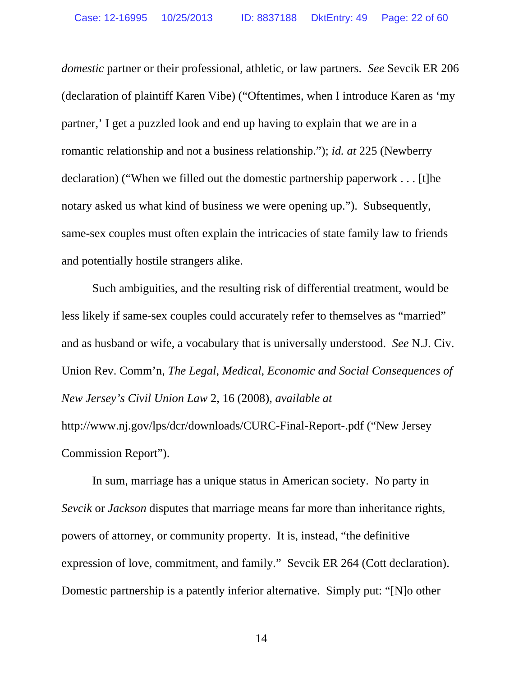*domestic* partner or their professional, athletic, or law partners. *See* Sevcik ER 206 (declaration of plaintiff Karen Vibe) ("Oftentimes, when I introduce Karen as 'my partner,' I get a puzzled look and end up having to explain that we are in a romantic relationship and not a business relationship."); *id. at* 225 (Newberry declaration) ("When we filled out the domestic partnership paperwork . . . [t]he notary asked us what kind of business we were opening up."). Subsequently, same-sex couples must often explain the intricacies of state family law to friends and potentially hostile strangers alike.

Such ambiguities, and the resulting risk of differential treatment, would be less likely if same-sex couples could accurately refer to themselves as "married" and as husband or wife, a vocabulary that is universally understood. *See* N.J. Civ. Union Rev. Comm'n, *The Legal, Medical, Economic and Social Consequences of New Jersey's Civil Union Law* 2, 16 (2008), *available at* http://www.nj.gov/lps/dcr/downloads/CURC-Final-Report-.pdf ("New Jersey Commission Report").

In sum, marriage has a unique status in American society. No party in *Sevcik* or *Jackson* disputes that marriage means far more than inheritance rights, powers of attorney, or community property. It is, instead, "the definitive expression of love, commitment, and family." Sevcik ER 264 (Cott declaration). Domestic partnership is a patently inferior alternative. Simply put: "[N]o other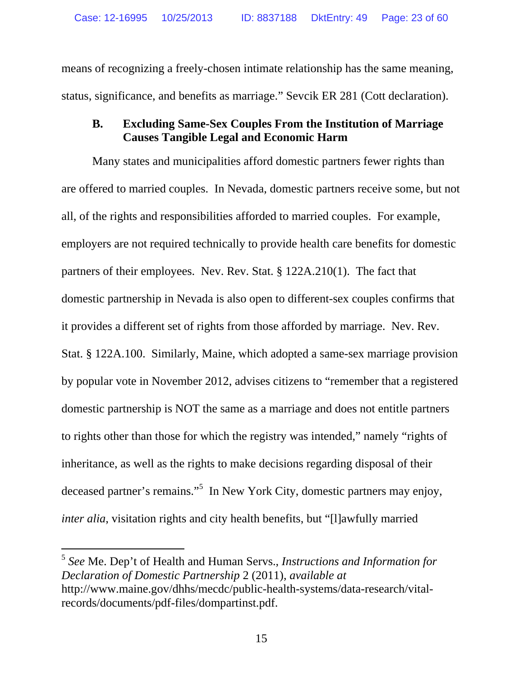means of recognizing a freely-chosen intimate relationship has the same meaning, status, significance, and benefits as marriage." Sevcik ER 281 (Cott declaration).

## **B. Excluding Same-Sex Couples From the Institution of Marriage Causes Tangible Legal and Economic Harm**

Many states and municipalities afford domestic partners fewer rights than are offered to married couples. In Nevada, domestic partners receive some, but not all, of the rights and responsibilities afforded to married couples. For example, employers are not required technically to provide health care benefits for domestic partners of their employees. Nev. Rev. Stat. § 122A.210(1). The fact that domestic partnership in Nevada is also open to different-sex couples confirms that it provides a different set of rights from those afforded by marriage. Nev. Rev. Stat. § 122A.100. Similarly, Maine, which adopted a same-sex marriage provision by popular vote in November 2012, advises citizens to "remember that a registered domestic partnership is NOT the same as a marriage and does not entitle partners to rights other than those for which the registry was intended," namely "rights of inheritance, as well as the rights to make decisions regarding disposal of their deceased partner's remains."<sup>5</sup> In New York City, domestic partners may enjoy, *inter alia*, visitation rights and city health benefits, but "[l]awfully married

<sup>5</sup> *See* Me. Dep't of Health and Human Servs., *Instructions and Information for Declaration of Domestic Partnership* 2 (2011), *available at*  http://www.maine.gov/dhhs/mecdc/public-health-systems/data-research/vitalrecords/documents/pdf-files/dompartinst.pdf.

-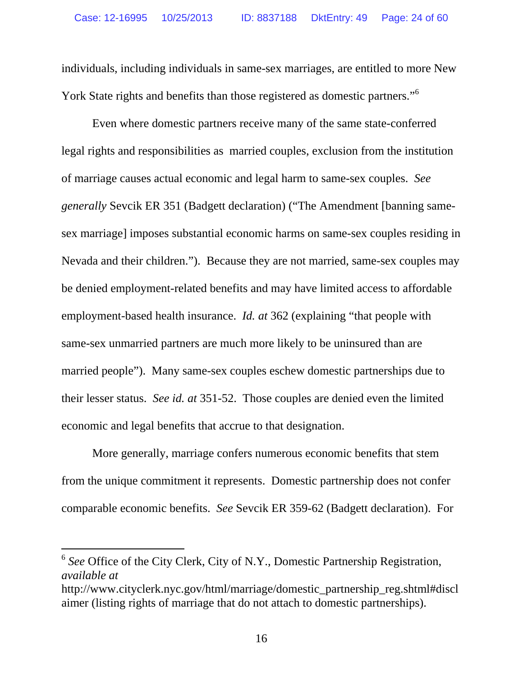individuals, including individuals in same-sex marriages, are entitled to more New York State rights and benefits than those registered as domestic partners."<sup>6</sup>

Even where domestic partners receive many of the same state-conferred legal rights and responsibilities as married couples, exclusion from the institution of marriage causes actual economic and legal harm to same-sex couples. *See generally* Sevcik ER 351 (Badgett declaration) ("The Amendment [banning samesex marriage] imposes substantial economic harms on same-sex couples residing in Nevada and their children."). Because they are not married, same-sex couples may be denied employment-related benefits and may have limited access to affordable employment-based health insurance. *Id. at* 362 (explaining "that people with same-sex unmarried partners are much more likely to be uninsured than are married people"). Many same-sex couples eschew domestic partnerships due to their lesser status. *See id. at* 351-52. Those couples are denied even the limited economic and legal benefits that accrue to that designation.

More generally, marriage confers numerous economic benefits that stem from the unique commitment it represents. Domestic partnership does not confer comparable economic benefits. *See* Sevcik ER 359-62 (Badgett declaration). For

 $\overline{a}$ 

<sup>6</sup> *See* Office of the City Clerk, City of N.Y., Domestic Partnership Registration, *available at* 

http://www.cityclerk.nyc.gov/html/marriage/domestic\_partnership\_reg.shtml#discl aimer (listing rights of marriage that do not attach to domestic partnerships).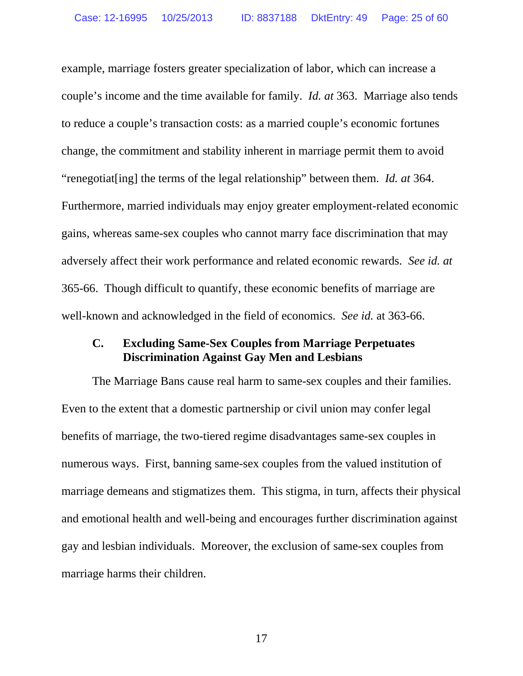example, marriage fosters greater specialization of labor, which can increase a couple's income and the time available for family. *Id. at* 363. Marriage also tends to reduce a couple's transaction costs: as a married couple's economic fortunes change, the commitment and stability inherent in marriage permit them to avoid "renegotiat[ing] the terms of the legal relationship" between them. *Id. at* 364. Furthermore, married individuals may enjoy greater employment-related economic gains, whereas same-sex couples who cannot marry face discrimination that may adversely affect their work performance and related economic rewards. *See id. at* 365-66. Though difficult to quantify, these economic benefits of marriage are well-known and acknowledged in the field of economics. *See id.* at 363-66.

### **C. Excluding Same-Sex Couples from Marriage Perpetuates Discrimination Against Gay Men and Lesbians**

The Marriage Bans cause real harm to same-sex couples and their families. Even to the extent that a domestic partnership or civil union may confer legal benefits of marriage, the two-tiered regime disadvantages same-sex couples in numerous ways. First, banning same-sex couples from the valued institution of marriage demeans and stigmatizes them. This stigma, in turn, affects their physical and emotional health and well-being and encourages further discrimination against gay and lesbian individuals. Moreover, the exclusion of same-sex couples from marriage harms their children.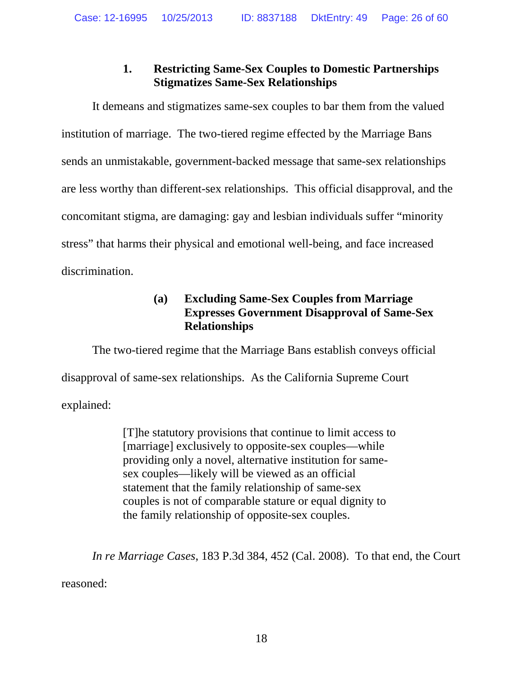# **1. Restricting Same-Sex Couples to Domestic Partnerships Stigmatizes Same-Sex Relationships**

It demeans and stigmatizes same-sex couples to bar them from the valued institution of marriage. The two-tiered regime effected by the Marriage Bans sends an unmistakable, government-backed message that same-sex relationships are less worthy than different-sex relationships. This official disapproval, and the concomitant stigma, are damaging: gay and lesbian individuals suffer "minority stress" that harms their physical and emotional well-being, and face increased discrimination.

## **(a) Excluding Same-Sex Couples from Marriage Expresses Government Disapproval of Same-Sex Relationships**

The two-tiered regime that the Marriage Bans establish conveys official disapproval of same-sex relationships. As the California Supreme Court explained:

> [T]he statutory provisions that continue to limit access to [marriage] exclusively to opposite-sex couples—while providing only a novel, alternative institution for samesex couples—likely will be viewed as an official statement that the family relationship of same-sex couples is not of comparable stature or equal dignity to the family relationship of opposite-sex couples.

*In re Marriage Cases*, 183 P.3d 384, 452 (Cal. 2008). To that end, the Court reasoned: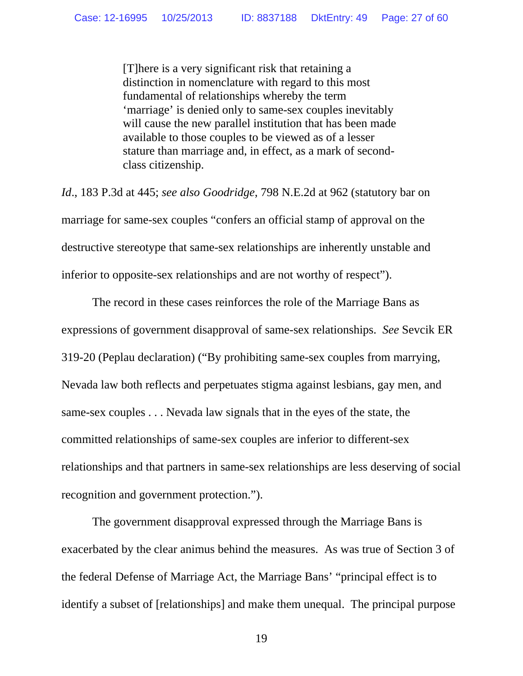[T]here is a very significant risk that retaining a distinction in nomenclature with regard to this most fundamental of relationships whereby the term 'marriage' is denied only to same-sex couples inevitably will cause the new parallel institution that has been made available to those couples to be viewed as of a lesser stature than marriage and, in effect, as a mark of secondclass citizenship.

*Id*., 183 P.3d at 445; *see also Goodridge*, 798 N.E.2d at 962 (statutory bar on marriage for same-sex couples "confers an official stamp of approval on the destructive stereotype that same-sex relationships are inherently unstable and inferior to opposite-sex relationships and are not worthy of respect").

The record in these cases reinforces the role of the Marriage Bans as expressions of government disapproval of same-sex relationships. *See* Sevcik ER 319-20 (Peplau declaration) ("By prohibiting same-sex couples from marrying, Nevada law both reflects and perpetuates stigma against lesbians, gay men, and same-sex couples . . . Nevada law signals that in the eyes of the state, the committed relationships of same-sex couples are inferior to different-sex relationships and that partners in same-sex relationships are less deserving of social recognition and government protection.").

The government disapproval expressed through the Marriage Bans is exacerbated by the clear animus behind the measures. As was true of Section 3 of the federal Defense of Marriage Act, the Marriage Bans' "principal effect is to identify a subset of [relationships] and make them unequal. The principal purpose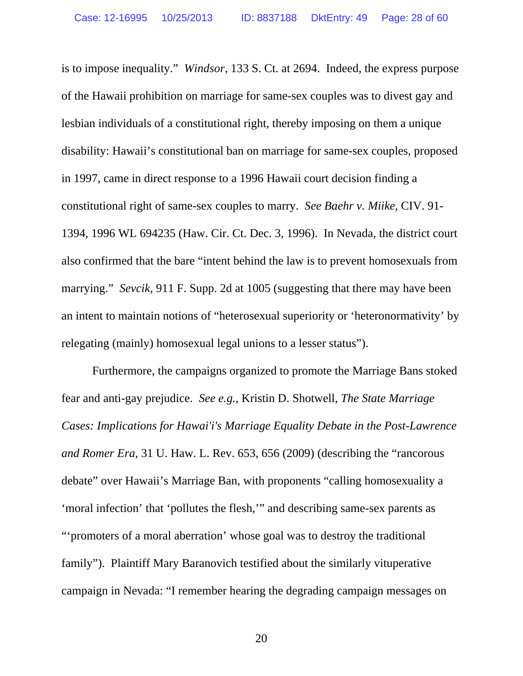is to impose inequality." *Windsor*, 133 S. Ct. at 2694. Indeed, the express purpose of the Hawaii prohibition on marriage for same-sex couples was to divest gay and lesbian individuals of a constitutional right, thereby imposing on them a unique disability: Hawaii's constitutional ban on marriage for same-sex couples, proposed in 1997, came in direct response to a 1996 Hawaii court decision finding a constitutional right of same-sex couples to marry. *See Baehr v. Miike*, CIV. 91- 1394, 1996 WL 694235 (Haw. Cir. Ct. Dec. 3, 1996). In Nevada, the district court also confirmed that the bare "intent behind the law is to prevent homosexuals from marrying." *Sevcik*, 911 F. Supp. 2d at 1005 (suggesting that there may have been an intent to maintain notions of "heterosexual superiority or 'heteronormativity' by relegating (mainly) homosexual legal unions to a lesser status").

Furthermore, the campaigns organized to promote the Marriage Bans stoked fear and anti-gay prejudice. *See e.g.*, Kristin D. Shotwell, *The State Marriage Cases: Implications for Hawai'i's Marriage Equality Debate in the Post-Lawrence and Romer Era*, 31 U. Haw. L. Rev. 653, 656 (2009) (describing the "rancorous debate" over Hawaii's Marriage Ban, with proponents "calling homosexuality a 'moral infection' that 'pollutes the flesh,'" and describing same-sex parents as "'promoters of a moral aberration' whose goal was to destroy the traditional family"). Plaintiff Mary Baranovich testified about the similarly vituperative campaign in Nevada: "I remember hearing the degrading campaign messages on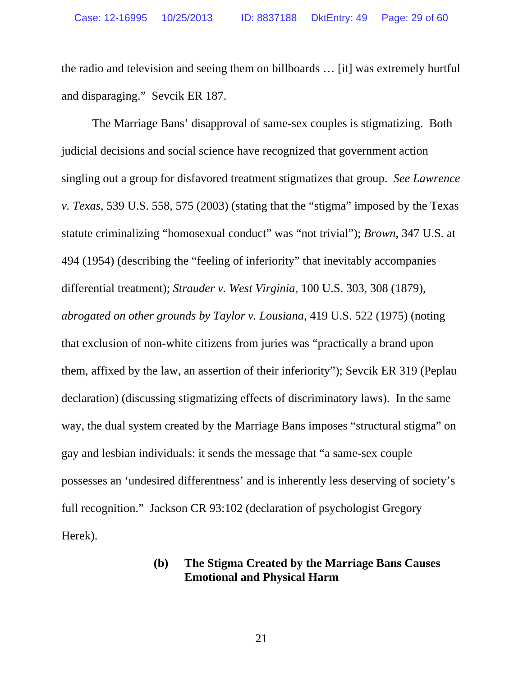the radio and television and seeing them on billboards … [it] was extremely hurtful and disparaging." Sevcik ER 187.

The Marriage Bans' disapproval of same-sex couples is stigmatizing. Both judicial decisions and social science have recognized that government action singling out a group for disfavored treatment stigmatizes that group. *See Lawrence v. Texas*, 539 U.S. 558, 575 (2003) (stating that the "stigma" imposed by the Texas statute criminalizing "homosexual conduct" was "not trivial"); *Brown*, 347 U.S. at 494 (1954) (describing the "feeling of inferiority" that inevitably accompanies differential treatment); *Strauder v. West Virginia*, 100 U.S. 303, 308 (1879), *abrogated on other grounds by Taylor v. Lousiana*, 419 U.S. 522 (1975) (noting that exclusion of non-white citizens from juries was "practically a brand upon them, affixed by the law, an assertion of their inferiority"); Sevcik ER 319 (Peplau declaration) (discussing stigmatizing effects of discriminatory laws). In the same way, the dual system created by the Marriage Bans imposes "structural stigma" on gay and lesbian individuals: it sends the message that "a same-sex couple possesses an 'undesired differentness' and is inherently less deserving of society's full recognition." Jackson CR 93:102 (declaration of psychologist Gregory Herek).

### **(b) The Stigma Created by the Marriage Bans Causes Emotional and Physical Harm**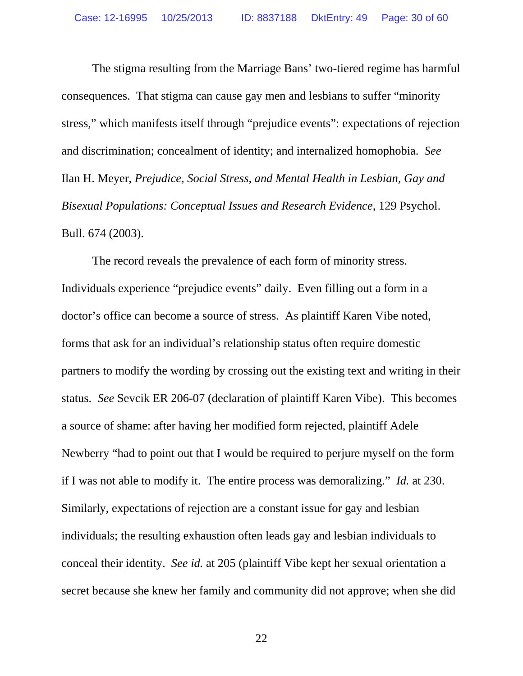The stigma resulting from the Marriage Bans' two-tiered regime has harmful consequences. That stigma can cause gay men and lesbians to suffer "minority stress," which manifests itself through "prejudice events": expectations of rejection and discrimination; concealment of identity; and internalized homophobia. *See* Ilan H. Meyer, *Prejudice, Social Stress, and Mental Health in Lesbian, Gay and Bisexual Populations: Conceptual Issues and Research Evidence*, 129 Psychol. Bull. 674 (2003).

The record reveals the prevalence of each form of minority stress. Individuals experience "prejudice events" daily. Even filling out a form in a doctor's office can become a source of stress. As plaintiff Karen Vibe noted, forms that ask for an individual's relationship status often require domestic partners to modify the wording by crossing out the existing text and writing in their status. *See* Sevcik ER 206-07 (declaration of plaintiff Karen Vibe). This becomes a source of shame: after having her modified form rejected, plaintiff Adele Newberry "had to point out that I would be required to perjure myself on the form if I was not able to modify it. The entire process was demoralizing." *Id.* at 230. Similarly, expectations of rejection are a constant issue for gay and lesbian individuals; the resulting exhaustion often leads gay and lesbian individuals to conceal their identity. *See id.* at 205 (plaintiff Vibe kept her sexual orientation a secret because she knew her family and community did not approve; when she did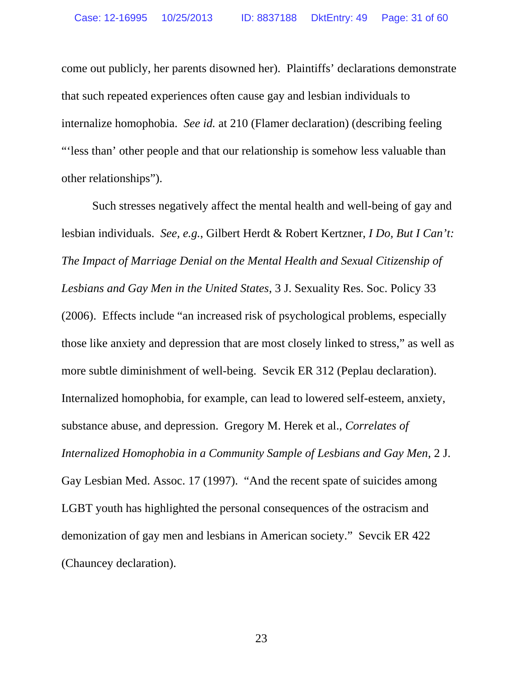come out publicly, her parents disowned her). Plaintiffs' declarations demonstrate that such repeated experiences often cause gay and lesbian individuals to internalize homophobia. *See id.* at 210 (Flamer declaration) (describing feeling "'less than' other people and that our relationship is somehow less valuable than other relationships").

Such stresses negatively affect the mental health and well-being of gay and lesbian individuals. *See, e.g.*, Gilbert Herdt & Robert Kertzner, *I Do, But I Can't: The Impact of Marriage Denial on the Mental Health and Sexual Citizenship of Lesbians and Gay Men in the United States*, 3 J. Sexuality Res. Soc. Policy 33 (2006). Effects include "an increased risk of psychological problems, especially those like anxiety and depression that are most closely linked to stress," as well as more subtle diminishment of well-being. Sevcik ER 312 (Peplau declaration). Internalized homophobia, for example, can lead to lowered self-esteem, anxiety, substance abuse, and depression. Gregory M. Herek et al., *Correlates of Internalized Homophobia in a Community Sample of Lesbians and Gay Men*, 2 J. Gay Lesbian Med. Assoc. 17 (1997). "And the recent spate of suicides among LGBT youth has highlighted the personal consequences of the ostracism and demonization of gay men and lesbians in American society." Sevcik ER 422 (Chauncey declaration).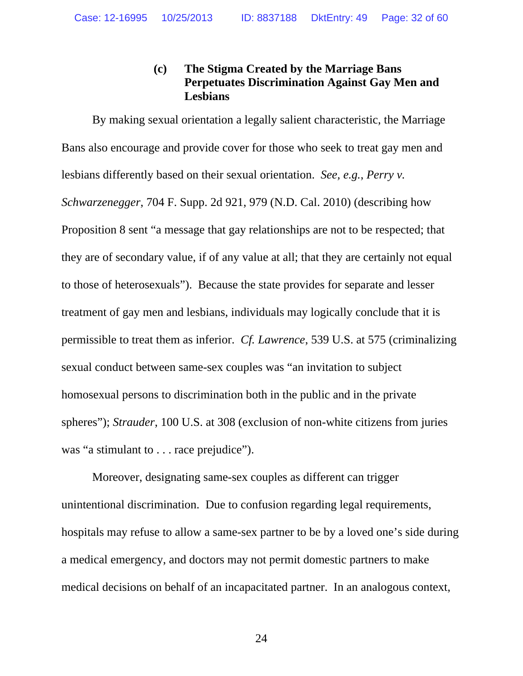## **(c) The Stigma Created by the Marriage Bans Perpetuates Discrimination Against Gay Men and Lesbians**

By making sexual orientation a legally salient characteristic, the Marriage Bans also encourage and provide cover for those who seek to treat gay men and lesbians differently based on their sexual orientation. *See, e.g.*, *Perry v. Schwarzenegger*, 704 F. Supp. 2d 921, 979 (N.D. Cal. 2010) (describing how Proposition 8 sent "a message that gay relationships are not to be respected; that they are of secondary value, if of any value at all; that they are certainly not equal to those of heterosexuals"). Because the state provides for separate and lesser treatment of gay men and lesbians, individuals may logically conclude that it is permissible to treat them as inferior. *Cf. Lawrence*, 539 U.S. at 575 (criminalizing sexual conduct between same-sex couples was "an invitation to subject homosexual persons to discrimination both in the public and in the private spheres"); *Strauder*, 100 U.S. at 308 (exclusion of non-white citizens from juries was "a stimulant to . . . race prejudice").

Moreover, designating same-sex couples as different can trigger unintentional discrimination. Due to confusion regarding legal requirements, hospitals may refuse to allow a same-sex partner to be by a loved one's side during a medical emergency, and doctors may not permit domestic partners to make medical decisions on behalf of an incapacitated partner. In an analogous context,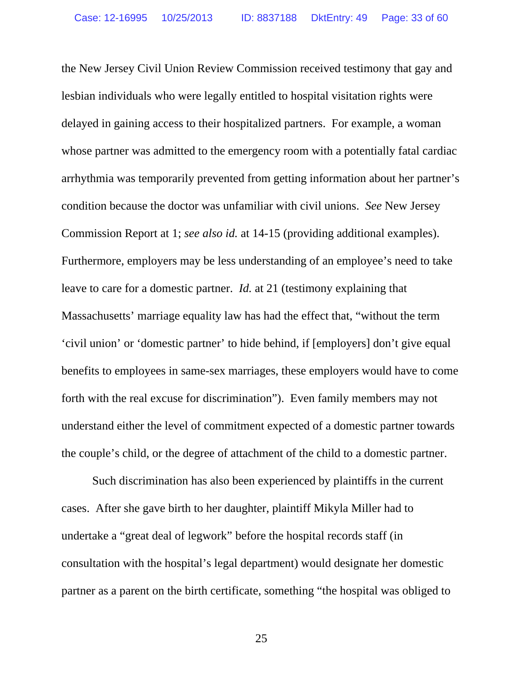the New Jersey Civil Union Review Commission received testimony that gay and lesbian individuals who were legally entitled to hospital visitation rights were delayed in gaining access to their hospitalized partners. For example, a woman whose partner was admitted to the emergency room with a potentially fatal cardiac arrhythmia was temporarily prevented from getting information about her partner's condition because the doctor was unfamiliar with civil unions. *See* New Jersey Commission Report at 1; *see also id.* at 14-15 (providing additional examples). Furthermore, employers may be less understanding of an employee's need to take leave to care for a domestic partner. *Id.* at 21 (testimony explaining that Massachusetts' marriage equality law has had the effect that, "without the term 'civil union' or 'domestic partner' to hide behind, if [employers] don't give equal benefits to employees in same-sex marriages, these employers would have to come forth with the real excuse for discrimination"). Even family members may not understand either the level of commitment expected of a domestic partner towards the couple's child, or the degree of attachment of the child to a domestic partner.

Such discrimination has also been experienced by plaintiffs in the current cases. After she gave birth to her daughter, plaintiff Mikyla Miller had to undertake a "great deal of legwork" before the hospital records staff (in consultation with the hospital's legal department) would designate her domestic partner as a parent on the birth certificate, something "the hospital was obliged to

25 and 25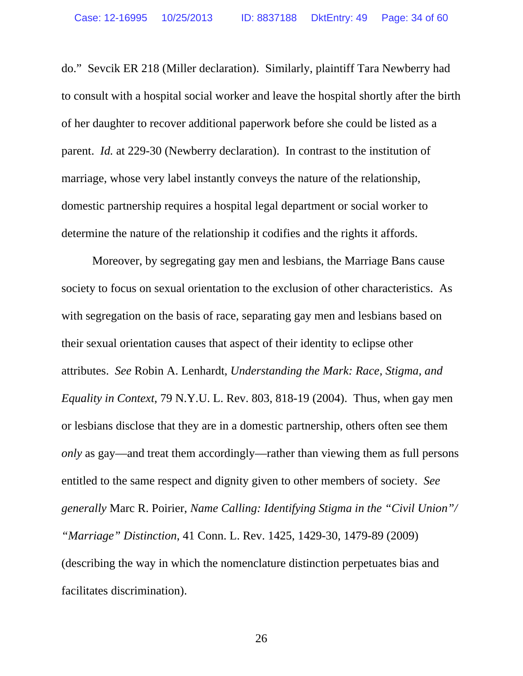do." Sevcik ER 218 (Miller declaration). Similarly, plaintiff Tara Newberry had to consult with a hospital social worker and leave the hospital shortly after the birth of her daughter to recover additional paperwork before she could be listed as a parent. *Id.* at 229-30 (Newberry declaration). In contrast to the institution of marriage, whose very label instantly conveys the nature of the relationship, domestic partnership requires a hospital legal department or social worker to determine the nature of the relationship it codifies and the rights it affords.

Moreover, by segregating gay men and lesbians, the Marriage Bans cause society to focus on sexual orientation to the exclusion of other characteristics. As with segregation on the basis of race, separating gay men and lesbians based on their sexual orientation causes that aspect of their identity to eclipse other attributes. *See* Robin A. Lenhardt, *Understanding the Mark: Race, Stigma, and Equality in Context*, 79 N.Y.U. L. Rev. 803, 818-19 (2004). Thus, when gay men or lesbians disclose that they are in a domestic partnership, others often see them *only* as gay—and treat them accordingly—rather than viewing them as full persons entitled to the same respect and dignity given to other members of society. *See generally* Marc R. Poirier, *Name Calling: Identifying Stigma in the "Civil Union"/ "Marriage" Distinction*, 41 Conn. L. Rev. 1425, 1429-30, 1479-89 (2009) (describing the way in which the nomenclature distinction perpetuates bias and facilitates discrimination).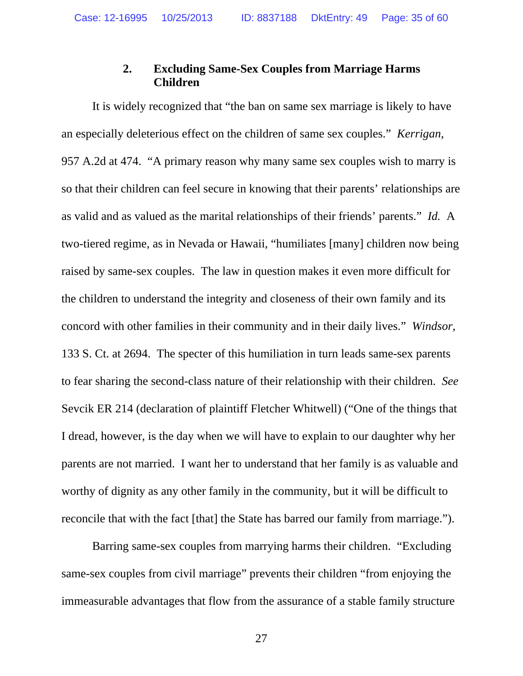## **2. Excluding Same-Sex Couples from Marriage Harms Children**

It is widely recognized that "the ban on same sex marriage is likely to have an especially deleterious effect on the children of same sex couples." *Kerrigan*, 957 A.2d at 474. "A primary reason why many same sex couples wish to marry is so that their children can feel secure in knowing that their parents' relationships are as valid and as valued as the marital relationships of their friends' parents." *Id.* A two-tiered regime, as in Nevada or Hawaii, "humiliates [many] children now being raised by same-sex couples. The law in question makes it even more difficult for the children to understand the integrity and closeness of their own family and its concord with other families in their community and in their daily lives." *Windsor*, 133 S. Ct. at 2694. The specter of this humiliation in turn leads same-sex parents to fear sharing the second-class nature of their relationship with their children. *See* Sevcik ER 214 (declaration of plaintiff Fletcher Whitwell) ("One of the things that I dread, however, is the day when we will have to explain to our daughter why her parents are not married. I want her to understand that her family is as valuable and worthy of dignity as any other family in the community, but it will be difficult to reconcile that with the fact [that] the State has barred our family from marriage.").

Barring same-sex couples from marrying harms their children. "Excluding same-sex couples from civil marriage" prevents their children "from enjoying the immeasurable advantages that flow from the assurance of a stable family structure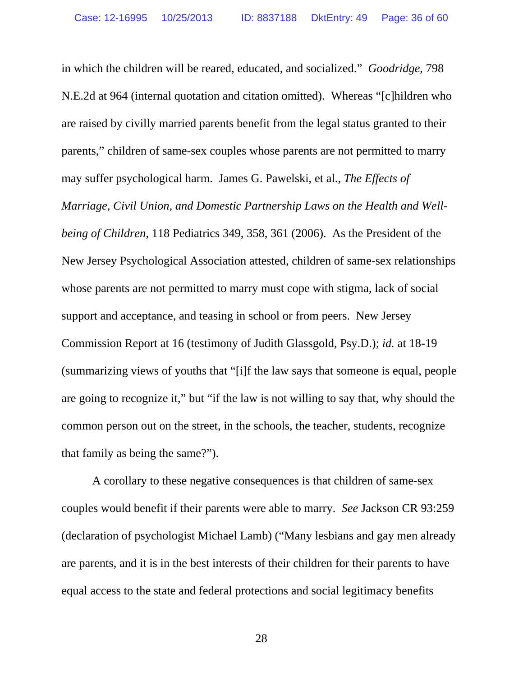in which the children will be reared, educated, and socialized." *Goodridge*, 798 N.E.2d at 964 (internal quotation and citation omitted). Whereas "[c]hildren who are raised by civilly married parents benefit from the legal status granted to their parents," children of same-sex couples whose parents are not permitted to marry may suffer psychological harm. James G. Pawelski, et al., *The Effects of Marriage, Civil Union, and Domestic Partnership Laws on the Health and Wellbeing of Children*, 118 Pediatrics 349, 358, 361 (2006). As the President of the New Jersey Psychological Association attested, children of same-sex relationships whose parents are not permitted to marry must cope with stigma, lack of social support and acceptance, and teasing in school or from peers. New Jersey Commission Report at 16 (testimony of Judith Glassgold, Psy.D.); *id.* at 18-19 (summarizing views of youths that "[i]f the law says that someone is equal, people are going to recognize it," but "if the law is not willing to say that, why should the common person out on the street, in the schools, the teacher, students, recognize that family as being the same?").

A corollary to these negative consequences is that children of same-sex couples would benefit if their parents were able to marry. *See* Jackson CR 93:259 (declaration of psychologist Michael Lamb) ("Many lesbians and gay men already are parents, and it is in the best interests of their children for their parents to have equal access to the state and federal protections and social legitimacy benefits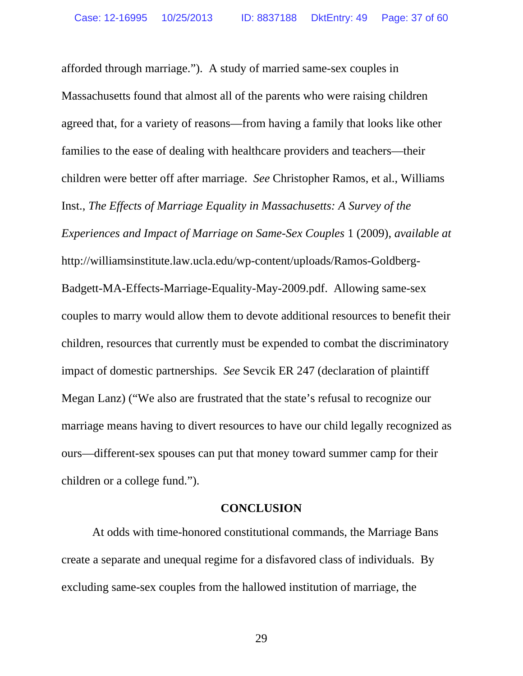afforded through marriage."). A study of married same-sex couples in Massachusetts found that almost all of the parents who were raising children agreed that, for a variety of reasons—from having a family that looks like other families to the ease of dealing with healthcare providers and teachers—their children were better off after marriage. *See* Christopher Ramos, et al., Williams Inst., *The Effects of Marriage Equality in Massachusetts: A Survey of the Experiences and Impact of Marriage on Same-Sex Couples* 1 (2009), *available at* http://williamsinstitute.law.ucla.edu/wp-content/uploads/Ramos-Goldberg-Badgett-MA-Effects-Marriage-Equality-May-2009.pdf. Allowing same-sex couples to marry would allow them to devote additional resources to benefit their children, resources that currently must be expended to combat the discriminatory impact of domestic partnerships. *See* Sevcik ER 247 (declaration of plaintiff Megan Lanz) ("We also are frustrated that the state's refusal to recognize our marriage means having to divert resources to have our child legally recognized as ours—different-sex spouses can put that money toward summer camp for their children or a college fund.").

#### **CONCLUSION**

At odds with time-honored constitutional commands, the Marriage Bans create a separate and unequal regime for a disfavored class of individuals. By excluding same-sex couples from the hallowed institution of marriage, the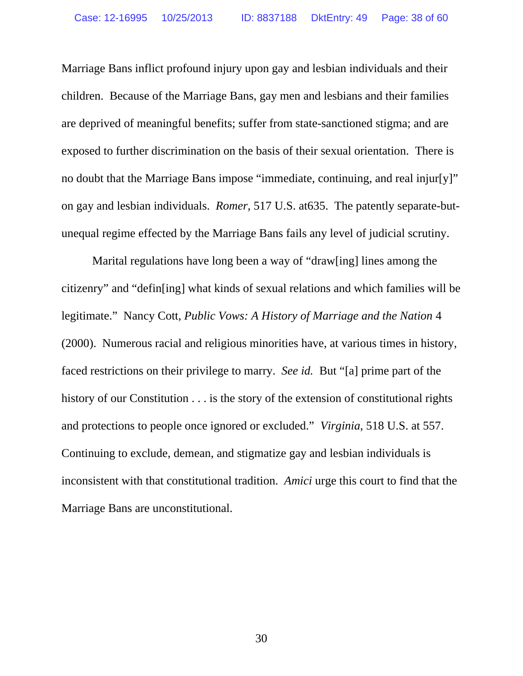Marriage Bans inflict profound injury upon gay and lesbian individuals and their children. Because of the Marriage Bans, gay men and lesbians and their families are deprived of meaningful benefits; suffer from state-sanctioned stigma; and are exposed to further discrimination on the basis of their sexual orientation. There is no doubt that the Marriage Bans impose "immediate, continuing, and real injur[y]" on gay and lesbian individuals. *Romer,* 517 U.S. at635. The patently separate-butunequal regime effected by the Marriage Bans fails any level of judicial scrutiny.

Marital regulations have long been a way of "draw[ing] lines among the citizenry" and "defin[ing] what kinds of sexual relations and which families will be legitimate." Nancy Cott, *Public Vows: A History of Marriage and the Nation* 4 (2000). Numerous racial and religious minorities have, at various times in history, faced restrictions on their privilege to marry. *See id.* But "[a] prime part of the history of our Constitution . . . is the story of the extension of constitutional rights and protections to people once ignored or excluded." *Virginia*, 518 U.S. at 557. Continuing to exclude, demean, and stigmatize gay and lesbian individuals is inconsistent with that constitutional tradition. *Amici* urge this court to find that the Marriage Bans are unconstitutional.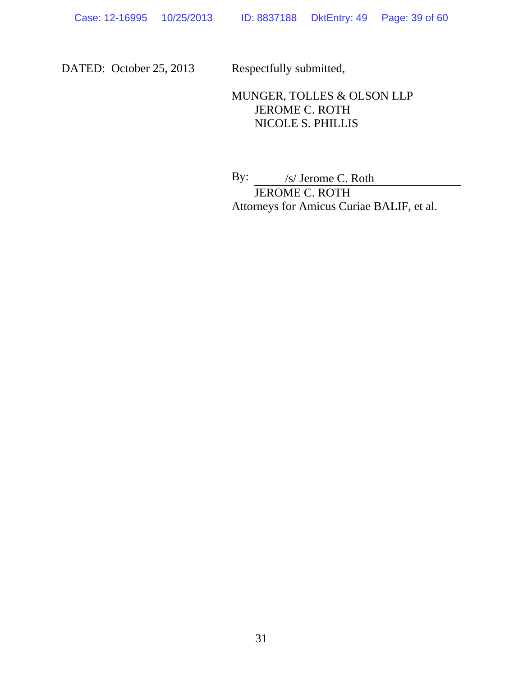DATED: October 25, 2013 Respectfully submitted,

# MUNGER, TOLLES & OLSON LLP JEROME C. ROTH NICOLE S. PHILLIS

By: /s/ Jerome C. Roth JEROME C. ROTH Attorneys for Amicus Curiae BALIF, et al.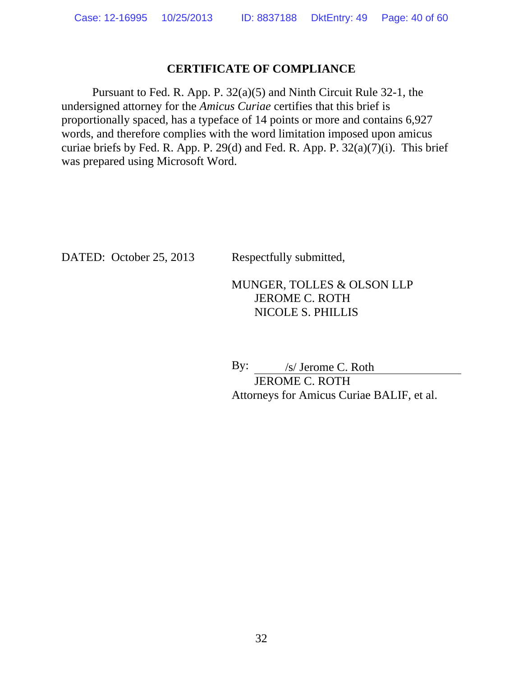## **CERTIFICATE OF COMPLIANCE**

Pursuant to Fed. R. App. P. 32(a)(5) and Ninth Circuit Rule 32-1, the undersigned attorney for the *Amicus Curiae* certifies that this brief is proportionally spaced, has a typeface of 14 points or more and contains 6,927 words, and therefore complies with the word limitation imposed upon amicus curiae briefs by Fed. R. App. P. 29(d) and Fed. R. App. P. 32(a)(7)(i). This brief was prepared using Microsoft Word.

DATED: October 25, 2013 Respectfully submitted,

## MUNGER, TOLLES & OLSON LLP JEROME C. ROTH NICOLE S. PHILLIS

By: /s/ Jerome C. Roth

 JEROME C. ROTH Attorneys for Amicus Curiae BALIF, et al.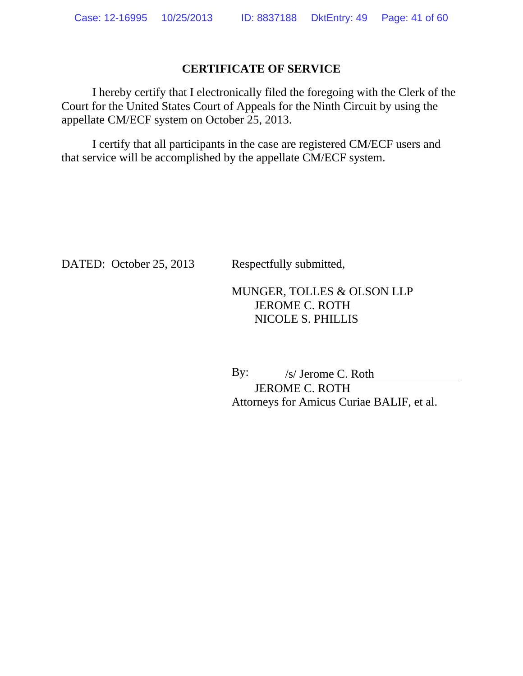### **CERTIFICATE OF SERVICE**

I hereby certify that I electronically filed the foregoing with the Clerk of the Court for the United States Court of Appeals for the Ninth Circuit by using the appellate CM/ECF system on October 25, 2013.

I certify that all participants in the case are registered CM/ECF users and that service will be accomplished by the appellate CM/ECF system.

DATED: October 25, 2013 Respectfully submitted,

## MUNGER, TOLLES & OLSON LLP JEROME C. ROTH NICOLE S. PHILLIS

By: /s/ Jerome C. Roth JEROME C. ROTH

Attorneys for Amicus Curiae BALIF, et al.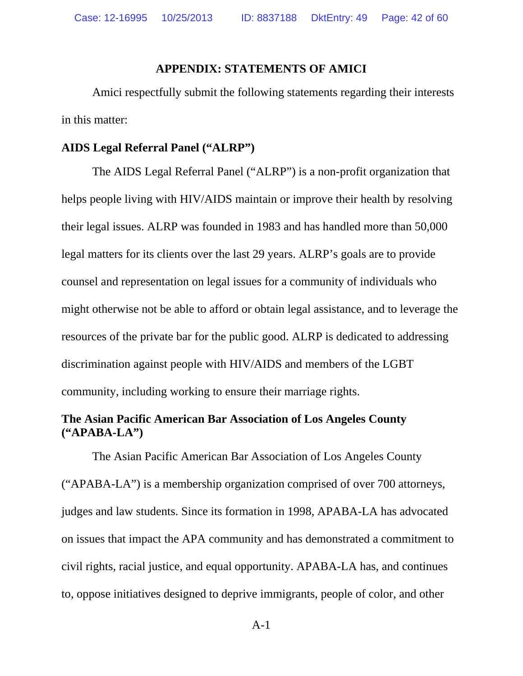#### **APPENDIX: STATEMENTS OF AMICI**

Amici respectfully submit the following statements regarding their interests in this matter:

### **AIDS Legal Referral Panel ("ALRP")**

The AIDS Legal Referral Panel ("ALRP") is a non-profit organization that helps people living with HIV/AIDS maintain or improve their health by resolving their legal issues. ALRP was founded in 1983 and has handled more than 50,000 legal matters for its clients over the last 29 years. ALRP's goals are to provide counsel and representation on legal issues for a community of individuals who might otherwise not be able to afford or obtain legal assistance, and to leverage the resources of the private bar for the public good. ALRP is dedicated to addressing discrimination against people with HIV/AIDS and members of the LGBT community, including working to ensure their marriage rights.

## **The Asian Pacific American Bar Association of Los Angeles County ("APABA-LA")**

The Asian Pacific American Bar Association of Los Angeles County ("APABA-LA") is a membership organization comprised of over 700 attorneys, judges and law students. Since its formation in 1998, APABA-LA has advocated on issues that impact the APA community and has demonstrated a commitment to civil rights, racial justice, and equal opportunity. APABA-LA has, and continues to, oppose initiatives designed to deprive immigrants, people of color, and other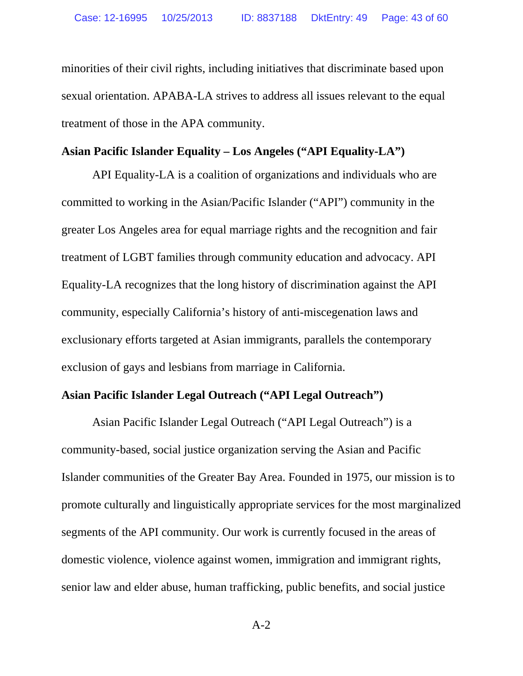minorities of their civil rights, including initiatives that discriminate based upon sexual orientation. APABA-LA strives to address all issues relevant to the equal treatment of those in the APA community.

### **Asian Pacific Islander Equality – Los Angeles ("API Equality-LA")**

API Equality-LA is a coalition of organizations and individuals who are committed to working in the Asian/Pacific Islander ("API") community in the greater Los Angeles area for equal marriage rights and the recognition and fair treatment of LGBT families through community education and advocacy. API Equality-LA recognizes that the long history of discrimination against the API community, especially California's history of anti-miscegenation laws and exclusionary efforts targeted at Asian immigrants, parallels the contemporary exclusion of gays and lesbians from marriage in California.

### **Asian Pacific Islander Legal Outreach ("API Legal Outreach")**

Asian Pacific Islander Legal Outreach ("API Legal Outreach") is a community-based, social justice organization serving the Asian and Pacific Islander communities of the Greater Bay Area. Founded in 1975, our mission is to promote culturally and linguistically appropriate services for the most marginalized segments of the API community. Our work is currently focused in the areas of domestic violence, violence against women, immigration and immigrant rights, senior law and elder abuse, human trafficking, public benefits, and social justice

A-2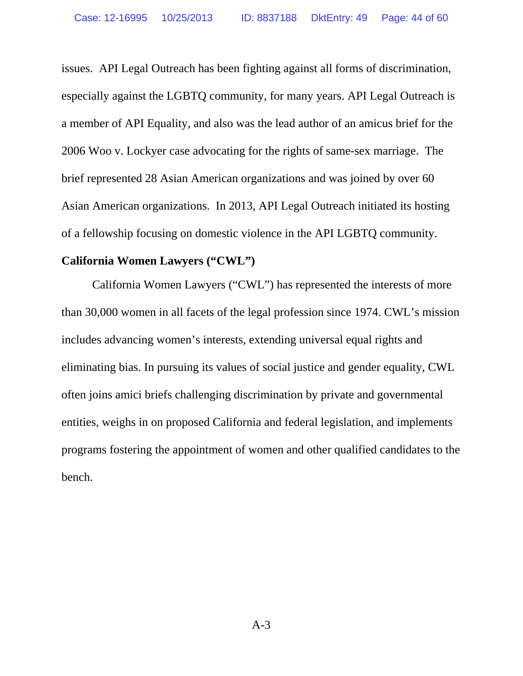issues. API Legal Outreach has been fighting against all forms of discrimination, especially against the LGBTQ community, for many years. API Legal Outreach is a member of API Equality, and also was the lead author of an amicus brief for the 2006 Woo v. Lockyer case advocating for the rights of same-sex marriage. The brief represented 28 Asian American organizations and was joined by over 60 Asian American organizations. In 2013, API Legal Outreach initiated its hosting of a fellowship focusing on domestic violence in the API LGBTQ community.

### **California Women Lawyers ("CWL")**

California Women Lawyers ("CWL") has represented the interests of more than 30,000 women in all facets of the legal profession since 1974. CWL's mission includes advancing women's interests, extending universal equal rights and eliminating bias. In pursuing its values of social justice and gender equality, CWL often joins amici briefs challenging discrimination by private and governmental entities, weighs in on proposed California and federal legislation, and implements programs fostering the appointment of women and other qualified candidates to the bench.

A-3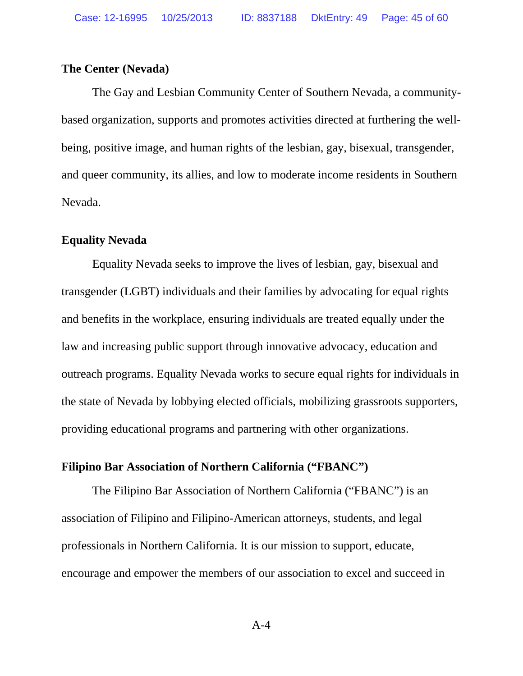#### **The Center (Nevada)**

 The Gay and Lesbian Community Center of Southern Nevada, a communitybased organization, supports and promotes activities directed at furthering the wellbeing, positive image, and human rights of the lesbian, gay, bisexual, transgender, and queer community, its allies, and low to moderate income residents in Southern Nevada.

## **Equality Nevada**

 Equality Nevada seeks to improve the lives of lesbian, gay, bisexual and transgender (LGBT) individuals and their families by advocating for equal rights and benefits in the workplace, ensuring individuals are treated equally under the law and increasing public support through innovative advocacy, education and outreach programs. Equality Nevada works to secure equal rights for individuals in the state of Nevada by lobbying elected officials, mobilizing grassroots supporters, providing educational programs and partnering with other organizations.

#### **Filipino Bar Association of Northern California ("FBANC")**

The Filipino Bar Association of Northern California ("FBANC") is an association of Filipino and Filipino-American attorneys, students, and legal professionals in Northern California. It is our mission to support, educate, encourage and empower the members of our association to excel and succeed in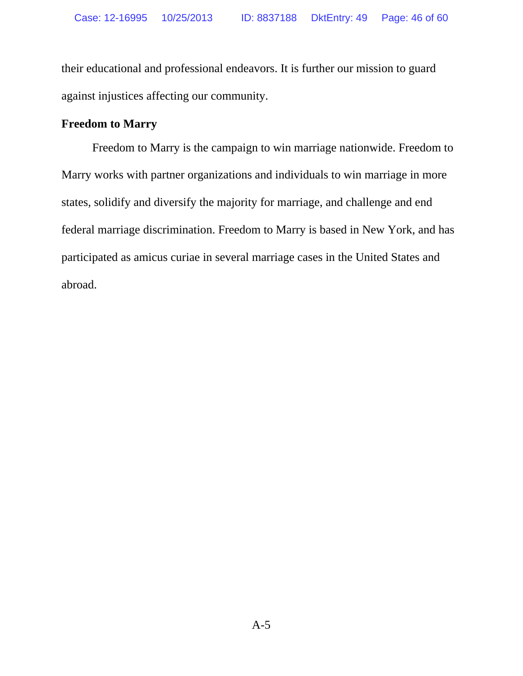their educational and professional endeavors. It is further our mission to guard against injustices affecting our community.

## **Freedom to Marry**

Freedom to Marry is the campaign to win marriage nationwide. Freedom to Marry works with partner organizations and individuals to win marriage in more states, solidify and diversify the majority for marriage, and challenge and end federal marriage discrimination. Freedom to Marry is based in New York, and has participated as amicus curiae in several marriage cases in the United States and abroad.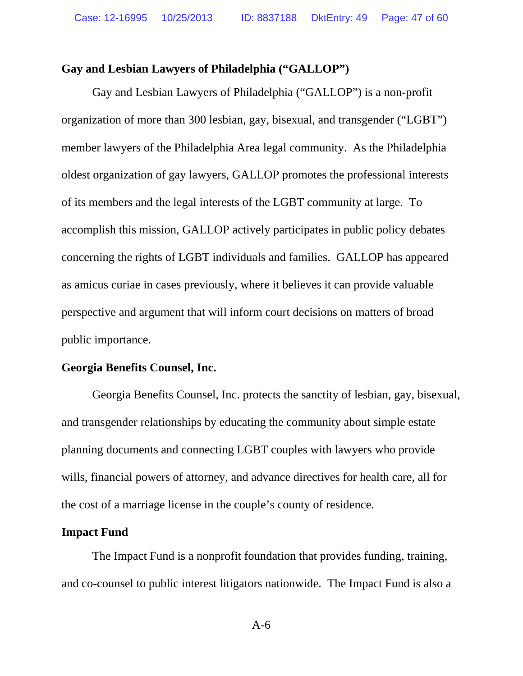### **Gay and Lesbian Lawyers of Philadelphia ("GALLOP")**

Gay and Lesbian Lawyers of Philadelphia ("GALLOP") is a non-profit organization of more than 300 lesbian, gay, bisexual, and transgender ("LGBT") member lawyers of the Philadelphia Area legal community. As the Philadelphia oldest organization of gay lawyers, GALLOP promotes the professional interests of its members and the legal interests of the LGBT community at large. To accomplish this mission, GALLOP actively participates in public policy debates concerning the rights of LGBT individuals and families. GALLOP has appeared as amicus curiae in cases previously, where it believes it can provide valuable perspective and argument that will inform court decisions on matters of broad public importance.

#### **Georgia Benefits Counsel, Inc.**

 Georgia Benefits Counsel, Inc. protects the sanctity of lesbian, gay, bisexual, and transgender relationships by educating the community about simple estate planning documents and connecting LGBT couples with lawyers who provide wills, financial powers of attorney, and advance directives for health care, all for the cost of a marriage license in the couple's county of residence.

### **Impact Fund**

The Impact Fund is a nonprofit foundation that provides funding, training, and co-counsel to public interest litigators nationwide. The Impact Fund is also a

A-6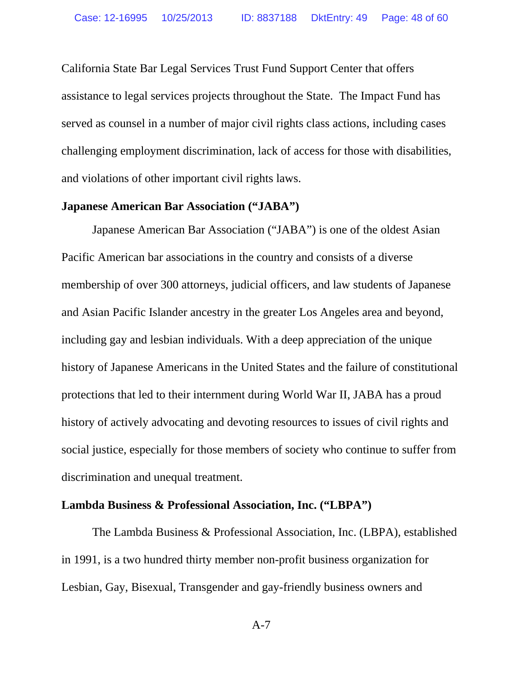California State Bar Legal Services Trust Fund Support Center that offers assistance to legal services projects throughout the State. The Impact Fund has served as counsel in a number of major civil rights class actions, including cases challenging employment discrimination, lack of access for those with disabilities, and violations of other important civil rights laws.

#### **Japanese American Bar Association ("JABA")**

Japanese American Bar Association ("JABA") is one of the oldest Asian Pacific American bar associations in the country and consists of a diverse membership of over 300 attorneys, judicial officers, and law students of Japanese and Asian Pacific Islander ancestry in the greater Los Angeles area and beyond, including gay and lesbian individuals. With a deep appreciation of the unique history of Japanese Americans in the United States and the failure of constitutional protections that led to their internment during World War II, JABA has a proud history of actively advocating and devoting resources to issues of civil rights and social justice, especially for those members of society who continue to suffer from discrimination and unequal treatment.

### **Lambda Business & Professional Association, Inc. ("LBPA")**

The Lambda Business & Professional Association, Inc. (LBPA), established in 1991, is a two hundred thirty member non-profit business organization for Lesbian, Gay, Bisexual, Transgender and gay-friendly business owners and

A-7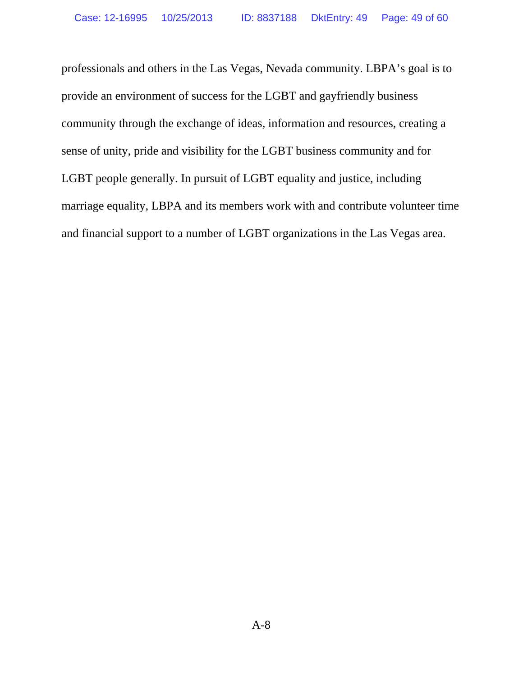professionals and others in the Las Vegas, Nevada community. LBPA's goal is to provide an environment of success for the LGBT and gayfriendly business community through the exchange of ideas, information and resources, creating a sense of unity, pride and visibility for the LGBT business community and for LGBT people generally. In pursuit of LGBT equality and justice, including marriage equality, LBPA and its members work with and contribute volunteer time and financial support to a number of LGBT organizations in the Las Vegas area.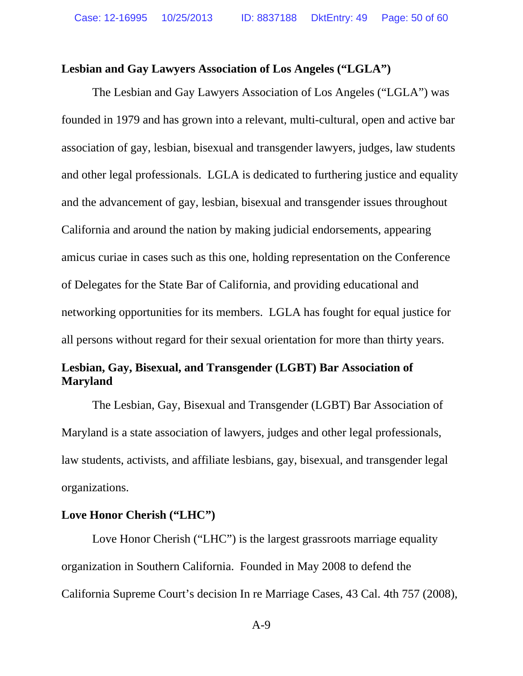#### **Lesbian and Gay Lawyers Association of Los Angeles ("LGLA")**

The Lesbian and Gay Lawyers Association of Los Angeles ("LGLA") was founded in 1979 and has grown into a relevant, multi-cultural, open and active bar association of gay, lesbian, bisexual and transgender lawyers, judges, law students and other legal professionals. LGLA is dedicated to furthering justice and equality and the advancement of gay, lesbian, bisexual and transgender issues throughout California and around the nation by making judicial endorsements, appearing amicus curiae in cases such as this one, holding representation on the Conference of Delegates for the State Bar of California, and providing educational and networking opportunities for its members. LGLA has fought for equal justice for all persons without regard for their sexual orientation for more than thirty years.

# **Lesbian, Gay, Bisexual, and Transgender (LGBT) Bar Association of Maryland**

The Lesbian, Gay, Bisexual and Transgender (LGBT) Bar Association of Maryland is a state association of lawyers, judges and other legal professionals, law students, activists, and affiliate lesbians, gay, bisexual, and transgender legal organizations.

### **Love Honor Cherish ("LHC")**

Love Honor Cherish ("LHC") is the largest grassroots marriage equality organization in Southern California. Founded in May 2008 to defend the California Supreme Court's decision In re Marriage Cases, 43 Cal. 4th 757 (2008),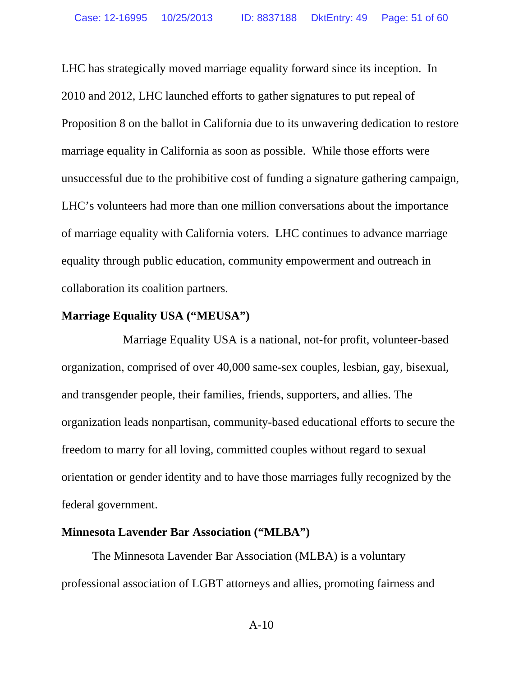LHC has strategically moved marriage equality forward since its inception. In 2010 and 2012, LHC launched efforts to gather signatures to put repeal of Proposition 8 on the ballot in California due to its unwavering dedication to restore marriage equality in California as soon as possible. While those efforts were unsuccessful due to the prohibitive cost of funding a signature gathering campaign, LHC's volunteers had more than one million conversations about the importance of marriage equality with California voters. LHC continues to advance marriage equality through public education, community empowerment and outreach in collaboration its coalition partners.

### **Marriage Equality USA ("MEUSA")**

 Marriage Equality USA is a national, not-for profit, volunteer-based organization, comprised of over 40,000 same-sex couples, lesbian, gay, bisexual, and transgender people, their families, friends, supporters, and allies. The organization leads nonpartisan, community-based educational efforts to secure the freedom to marry for all loving, committed couples without regard to sexual orientation or gender identity and to have those marriages fully recognized by the federal government.

#### **Minnesota Lavender Bar Association ("MLBA")**

The Minnesota Lavender Bar Association (MLBA) is a voluntary professional association of LGBT attorneys and allies, promoting fairness and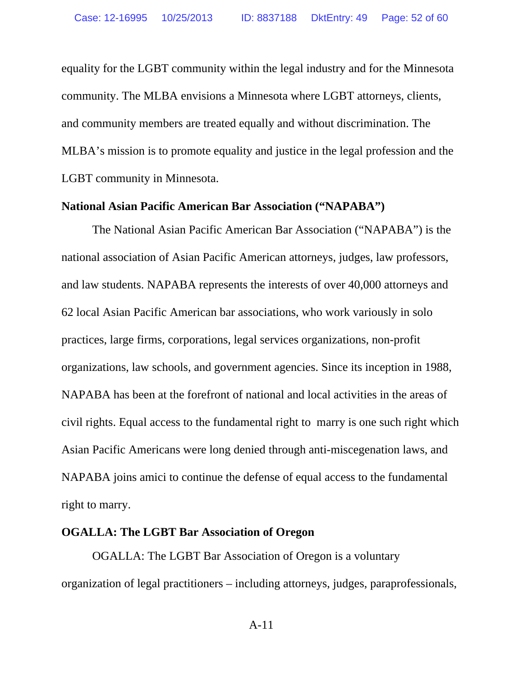equality for the LGBT community within the legal industry and for the Minnesota community. The MLBA envisions a Minnesota where LGBT attorneys, clients, and community members are treated equally and without discrimination. The MLBA's mission is to promote equality and justice in the legal profession and the LGBT community in Minnesota.

#### **National Asian Pacific American Bar Association ("NAPABA")**

The National Asian Pacific American Bar Association ("NAPABA") is the national association of Asian Pacific American attorneys, judges, law professors, and law students. NAPABA represents the interests of over 40,000 attorneys and 62 local Asian Pacific American bar associations, who work variously in solo practices, large firms, corporations, legal services organizations, non-profit organizations, law schools, and government agencies. Since its inception in 1988, NAPABA has been at the forefront of national and local activities in the areas of civil rights. Equal access to the fundamental right to marry is one such right which Asian Pacific Americans were long denied through anti-miscegenation laws, and NAPABA joins amici to continue the defense of equal access to the fundamental right to marry.

### **OGALLA: The LGBT Bar Association of Oregon**

OGALLA: The LGBT Bar Association of Oregon is a voluntary organization of legal practitioners – including attorneys, judges, paraprofessionals,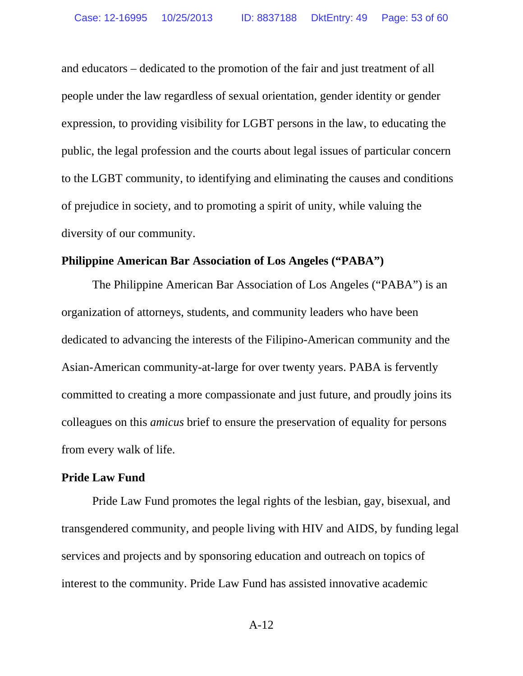and educators – dedicated to the promotion of the fair and just treatment of all people under the law regardless of sexual orientation, gender identity or gender expression, to providing visibility for LGBT persons in the law, to educating the public, the legal profession and the courts about legal issues of particular concern to the LGBT community, to identifying and eliminating the causes and conditions of prejudice in society, and to promoting a spirit of unity, while valuing the diversity of our community.

### **Philippine American Bar Association of Los Angeles ("PABA")**

The Philippine American Bar Association of Los Angeles ("PABA") is an organization of attorneys, students, and community leaders who have been dedicated to advancing the interests of the Filipino-American community and the Asian-American community-at-large for over twenty years. PABA is fervently committed to creating a more compassionate and just future, and proudly joins its colleagues on this *amicus* brief to ensure the preservation of equality for persons from every walk of life.

#### **Pride Law Fund**

Pride Law Fund promotes the legal rights of the lesbian, gay, bisexual, and transgendered community, and people living with HIV and AIDS, by funding legal services and projects and by sponsoring education and outreach on topics of interest to the community. Pride Law Fund has assisted innovative academic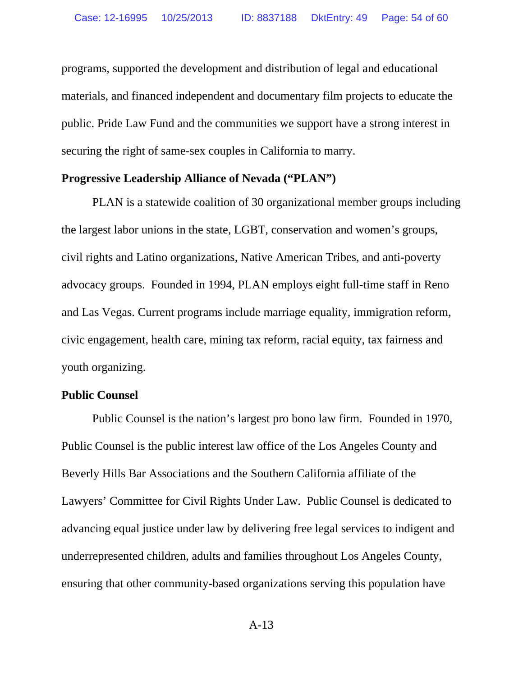programs, supported the development and distribution of legal and educational materials, and financed independent and documentary film projects to educate the public. Pride Law Fund and the communities we support have a strong interest in securing the right of same-sex couples in California to marry.

#### **Progressive Leadership Alliance of Nevada ("PLAN")**

PLAN is a statewide coalition of 30 organizational member groups including the largest labor unions in the state, LGBT, conservation and women's groups, civil rights and Latino organizations, Native American Tribes, and anti-poverty advocacy groups. Founded in 1994, PLAN employs eight full-time staff in Reno and Las Vegas. Current programs include marriage equality, immigration reform, civic engagement, health care, mining tax reform, racial equity, tax fairness and youth organizing.

### **Public Counsel**

Public Counsel is the nation's largest pro bono law firm. Founded in 1970, Public Counsel is the public interest law office of the Los Angeles County and Beverly Hills Bar Associations and the Southern California affiliate of the Lawyers' Committee for Civil Rights Under Law. Public Counsel is dedicated to advancing equal justice under law by delivering free legal services to indigent and underrepresented children, adults and families throughout Los Angeles County, ensuring that other community-based organizations serving this population have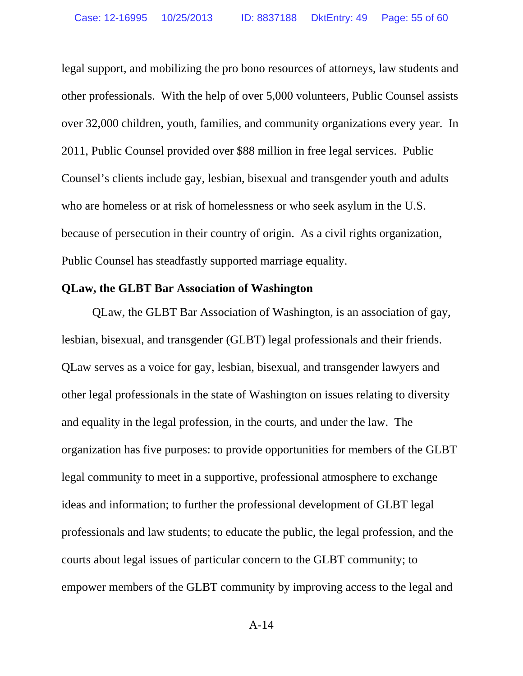legal support, and mobilizing the pro bono resources of attorneys, law students and other professionals. With the help of over 5,000 volunteers, Public Counsel assists over 32,000 children, youth, families, and community organizations every year. In 2011, Public Counsel provided over \$88 million in free legal services. Public Counsel's clients include gay, lesbian, bisexual and transgender youth and adults who are homeless or at risk of homelessness or who seek asylum in the U.S. because of persecution in their country of origin. As a civil rights organization, Public Counsel has steadfastly supported marriage equality.

#### **QLaw, the GLBT Bar Association of Washington**

QLaw, the GLBT Bar Association of Washington, is an association of gay, lesbian, bisexual, and transgender (GLBT) legal professionals and their friends. QLaw serves as a voice for gay, lesbian, bisexual, and transgender lawyers and other legal professionals in the state of Washington on issues relating to diversity and equality in the legal profession, in the courts, and under the law. The organization has five purposes: to provide opportunities for members of the GLBT legal community to meet in a supportive, professional atmosphere to exchange ideas and information; to further the professional development of GLBT legal professionals and law students; to educate the public, the legal profession, and the courts about legal issues of particular concern to the GLBT community; to empower members of the GLBT community by improving access to the legal and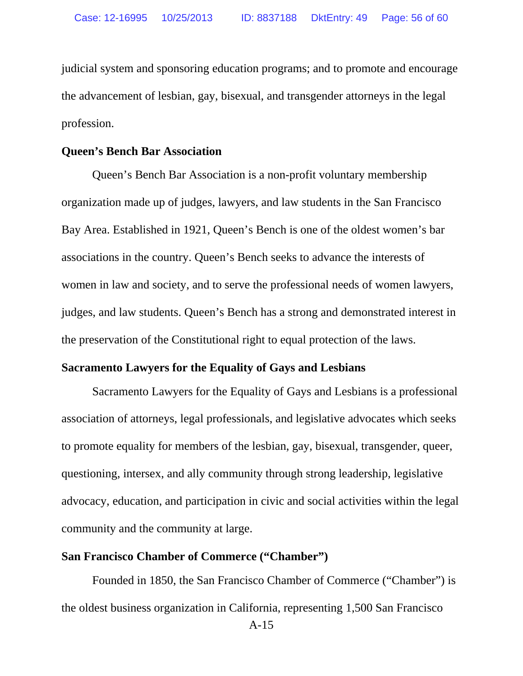judicial system and sponsoring education programs; and to promote and encourage the advancement of lesbian, gay, bisexual, and transgender attorneys in the legal profession.

#### **Queen's Bench Bar Association**

Queen's Bench Bar Association is a non-profit voluntary membership organization made up of judges, lawyers, and law students in the San Francisco Bay Area. Established in 1921, Queen's Bench is one of the oldest women's bar associations in the country. Queen's Bench seeks to advance the interests of women in law and society, and to serve the professional needs of women lawyers, judges, and law students. Queen's Bench has a strong and demonstrated interest in the preservation of the Constitutional right to equal protection of the laws.

### **Sacramento Lawyers for the Equality of Gays and Lesbians**

Sacramento Lawyers for the Equality of Gays and Lesbians is a professional association of attorneys, legal professionals, and legislative advocates which seeks to promote equality for members of the lesbian, gay, bisexual, transgender, queer, questioning, intersex, and ally community through strong leadership, legislative advocacy, education, and participation in civic and social activities within the legal community and the community at large.

#### **San Francisco Chamber of Commerce ("Chamber")**

Founded in 1850, the San Francisco Chamber of Commerce ("Chamber") is the oldest business organization in California, representing 1,500 San Francisco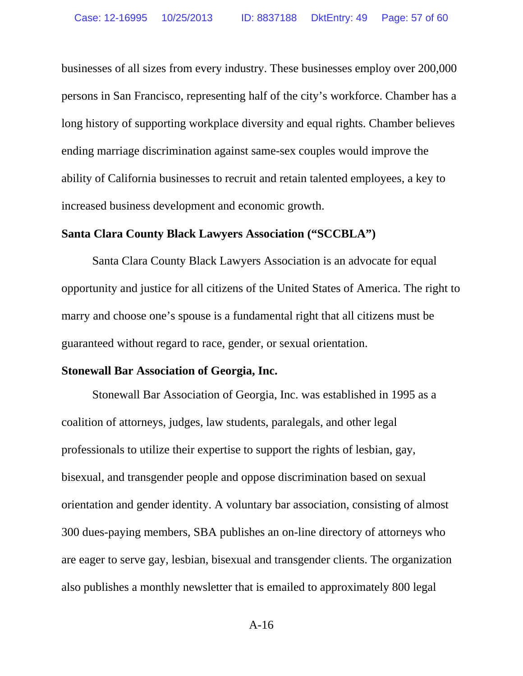businesses of all sizes from every industry. These businesses employ over 200,000 persons in San Francisco, representing half of the city's workforce. Chamber has a long history of supporting workplace diversity and equal rights. Chamber believes ending marriage discrimination against same-sex couples would improve the ability of California businesses to recruit and retain talented employees, a key to increased business development and economic growth.

#### **Santa Clara County Black Lawyers Association ("SCCBLA")**

Santa Clara County Black Lawyers Association is an advocate for equal opportunity and justice for all citizens of the United States of America. The right to marry and choose one's spouse is a fundamental right that all citizens must be guaranteed without regard to race, gender, or sexual orientation.

#### **Stonewall Bar Association of Georgia, Inc.**

Stonewall Bar Association of Georgia, Inc. was established in 1995 as a coalition of attorneys, judges, law students, paralegals, and other legal professionals to utilize their expertise to support the rights of lesbian, gay, bisexual, and transgender people and oppose discrimination based on sexual orientation and gender identity. A voluntary bar association, consisting of almost 300 dues-paying members, SBA publishes an on-line directory of attorneys who are eager to serve gay, lesbian, bisexual and transgender clients. The organization also publishes a monthly newsletter that is emailed to approximately 800 legal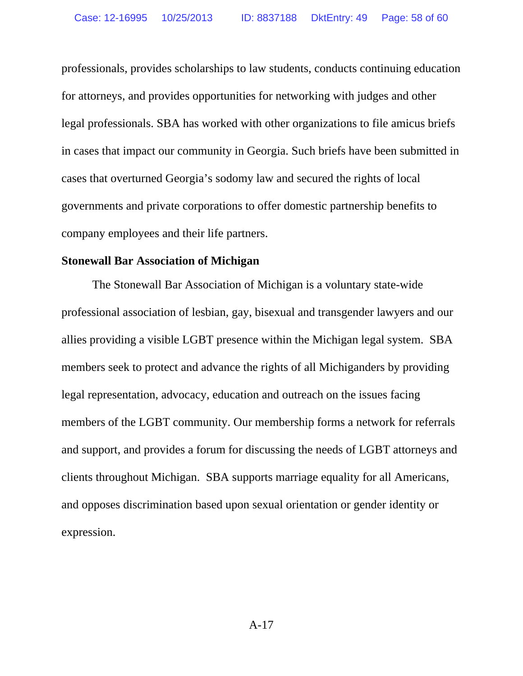professionals, provides scholarships to law students, conducts continuing education for attorneys, and provides opportunities for networking with judges and other legal professionals. SBA has worked with other organizations to file amicus briefs in cases that impact our community in Georgia. Such briefs have been submitted in cases that overturned Georgia's sodomy law and secured the rights of local governments and private corporations to offer domestic partnership benefits to company employees and their life partners.

#### **Stonewall Bar Association of Michigan**

The Stonewall Bar Association of Michigan is a voluntary state-wide professional association of lesbian, gay, bisexual and transgender lawyers and our allies providing a visible LGBT presence within the Michigan legal system. SBA members seek to protect and advance the rights of all Michiganders by providing legal representation, advocacy, education and outreach on the issues facing members of the LGBT community. Our membership forms a network for referrals and support, and provides a forum for discussing the needs of LGBT attorneys and clients throughout Michigan. SBA supports marriage equality for all Americans, and opposes discrimination based upon sexual orientation or gender identity or expression.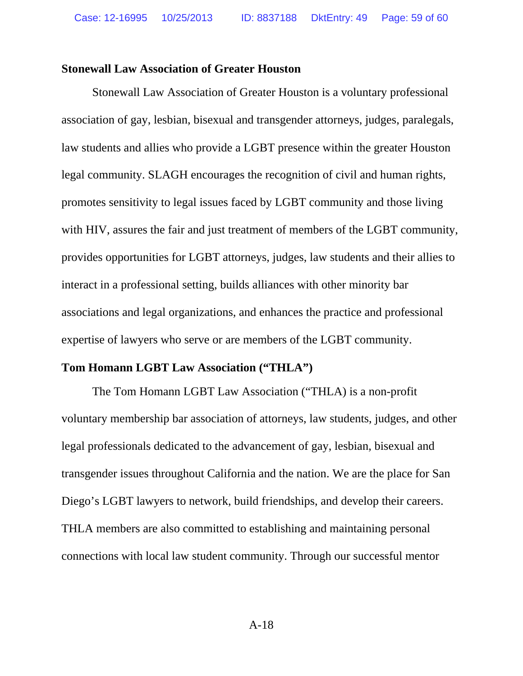#### **Stonewall Law Association of Greater Houston**

Stonewall Law Association of Greater Houston is a voluntary professional association of gay, lesbian, bisexual and transgender attorneys, judges, paralegals, law students and allies who provide a LGBT presence within the greater Houston legal community. SLAGH encourages the recognition of civil and human rights, promotes sensitivity to legal issues faced by LGBT community and those living with HIV, assures the fair and just treatment of members of the LGBT community, provides opportunities for LGBT attorneys, judges, law students and their allies to interact in a professional setting, builds alliances with other minority bar associations and legal organizations, and enhances the practice and professional expertise of lawyers who serve or are members of the LGBT community.

### **Tom Homann LGBT Law Association ("THLA")**

The Tom Homann LGBT Law Association ("THLA) is a non-profit voluntary membership bar association of attorneys, law students, judges, and other legal professionals dedicated to the advancement of gay, lesbian, bisexual and transgender issues throughout California and the nation. We are the place for San Diego's LGBT lawyers to network, build friendships, and develop their careers. THLA members are also committed to establishing and maintaining personal connections with local law student community. Through our successful mentor